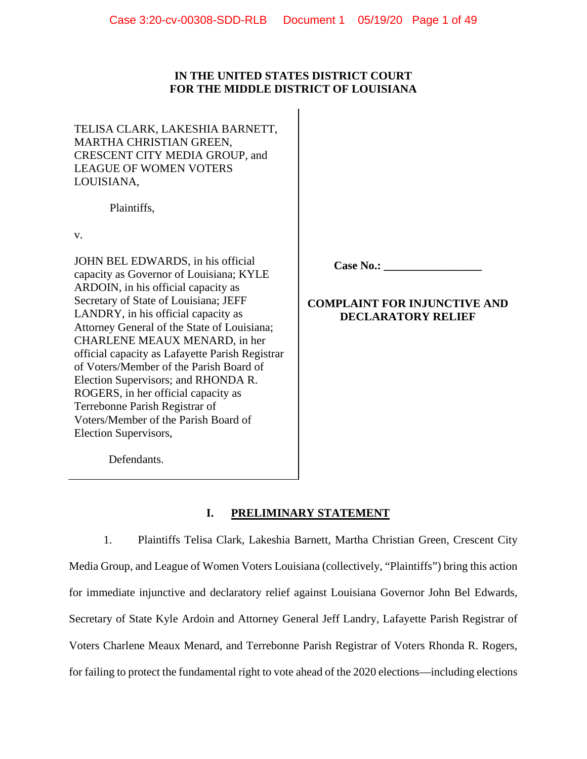# **IN THE UNITED STATES DISTRICT COURT FOR THE MIDDLE DISTRICT OF LOUISIANA**

TELISA CLARK, LAKESHIA BARNETT, MARTHA CHRISTIAN GREEN, CRESCENT CITY MEDIA GROUP, and LEAGUE OF WOMEN VOTERS LOUISIANA,

Plaintiffs,

v.

JOHN BEL EDWARDS, in his official capacity as Governor of Louisiana; KYLE ARDOIN, in his official capacity as Secretary of State of Louisiana; JEFF LANDRY, in his official capacity as Attorney General of the State of Louisiana; CHARLENE MEAUX MENARD, in her official capacity as Lafayette Parish Registrar of Voters/Member of the Parish Board of Election Supervisors; and RHONDA R. ROGERS, in her official capacity as Terrebonne Parish Registrar of Voters/Member of the Parish Board of Election Supervisors,

**Case No.: \_\_\_\_\_\_\_\_\_\_\_\_\_\_\_\_\_**

# **COMPLAINT FOR INJUNCTIVE AND DECLARATORY RELIEF**

Defendants.

# **I. PRELIMINARY STATEMENT**

1. Plaintiffs Telisa Clark, Lakeshia Barnett, Martha Christian Green, Crescent City Media Group, and League of Women Voters Louisiana (collectively, "Plaintiffs") bring this action for immediate injunctive and declaratory relief against Louisiana Governor John Bel Edwards, Secretary of State Kyle Ardoin and Attorney General Jeff Landry, Lafayette Parish Registrar of Voters Charlene Meaux Menard, and Terrebonne Parish Registrar of Voters Rhonda R. Rogers, for failing to protect the fundamental right to vote ahead of the 2020 elections—including elections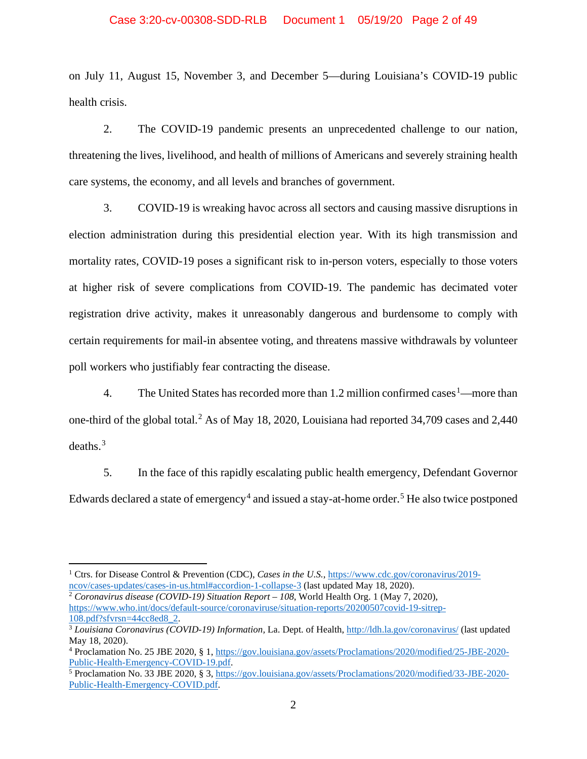### Case 3:20-cv-00308-SDD-RLB Document 1 05/19/20 Page 2 of 49

on July 11, August 15, November 3, and December 5—during Louisiana's COVID-19 public health crisis.

2. The COVID-19 pandemic presents an unprecedented challenge to our nation, threatening the lives, livelihood, and health of millions of Americans and severely straining health care systems, the economy, and all levels and branches of government.

3. COVID-19 is wreaking havoc across all sectors and causing massive disruptions in election administration during this presidential election year. With its high transmission and mortality rates, COVID-19 poses a significant risk to in-person voters, especially to those voters at higher risk of severe complications from COVID-19. The pandemic has decimated voter registration drive activity, makes it unreasonably dangerous and burdensome to comply with certain requirements for mail-in absentee voting, and threatens massive withdrawals by volunteer poll workers who justifiably fear contracting the disease.

4. The United States has recorded more than [1](#page-1-0).2 million confirmed cases  $<sup>1</sup>$ —more than</sup> one-third of the global total.<sup>[2](#page-1-1)</sup> As of May 18, 2020, Louisiana had reported 34,709 cases and 2,440 deaths. [3](#page-1-2)

5. In the face of this rapidly escalating public health emergency, Defendant Governor Edwards declared a state of emergency<sup>[4](#page-1-3)</sup> and issued a stay-at-home order.<sup>[5](#page-1-4)</sup> He also twice postponed

<span id="page-1-1"></span><sup>2</sup> *Coronavirus disease (COVID-19) Situation Report – 108*, World Health Org. 1 (May 7, 2020), [https://www.who.int/docs/default-source/coronaviruse/situation-reports/20200507covid-19-sitrep-](https://www.who.int/docs/default-source/coronaviruse/situation-reports/20200507covid-19-sitrep-108.pdf?sfvrsn=44cc8ed8_2)[108.pdf?sfvrsn=44cc8ed8\\_2.](https://www.who.int/docs/default-source/coronaviruse/situation-reports/20200507covid-19-sitrep-108.pdf?sfvrsn=44cc8ed8_2)

<span id="page-1-0"></span><sup>&</sup>lt;sup>1</sup> Ctrs. for Disease Control & Prevention (CDC), *Cases in the U.S.*, [https://www.cdc.gov/coronavirus/2019](https://www.cdc.gov/coronavirus/2019-ncov/cases-updates/cases-in-us.html#accordion-1-collapse-3) [ncov/cases-updates/cases-in-us.html#accordion-1-collapse-3](https://www.cdc.gov/coronavirus/2019-ncov/cases-updates/cases-in-us.html#accordion-1-collapse-3) (last updated May 18, 2020).

<span id="page-1-2"></span><sup>3</sup> *Louisiana Coronavirus (COVID-19) Information,* La. Dept. of Health[, http://ldh.la.gov/coronavirus/](http://ldh.la.gov/coronavirus/) (last updated May 18, 2020).

<span id="page-1-3"></span><sup>4</sup> Proclamation No. 25 JBE 2020, § 1, [https://gov.louisiana.gov/assets/Proclamations/2020/modified/25-JBE-2020-](https://gov.louisiana.gov/assets/Proclamations/2020/modified/25-JBE-2020-Public-Health-Emergency-COVID-19.pdf) [Public-Health-Emergency-COVID-19.pdf.](https://gov.louisiana.gov/assets/Proclamations/2020/modified/25-JBE-2020-Public-Health-Emergency-COVID-19.pdf)

<span id="page-1-4"></span><sup>5</sup> Proclamation No. 33 JBE 2020, § 3, [https://gov.louisiana.gov/assets/Proclamations/2020/modified/33-JBE-2020-](https://gov.louisiana.gov/assets/Proclamations/2020/modified/33-JBE-2020-Public-Health-Emergency-COVID.pdf) [Public-Health-Emergency-COVID.pdf.](https://gov.louisiana.gov/assets/Proclamations/2020/modified/33-JBE-2020-Public-Health-Emergency-COVID.pdf)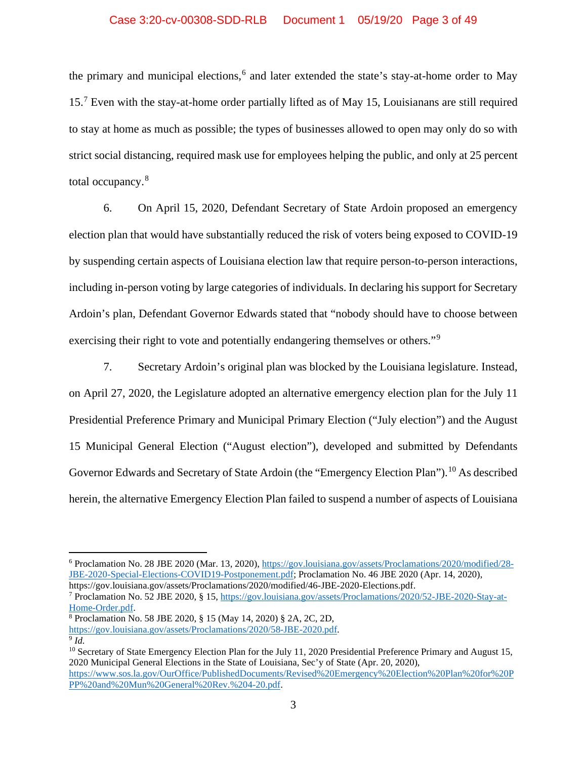## Case 3:20-cv-00308-SDD-RLB Document 1 05/19/20 Page 3 of 49

the primary and municipal elections, [6](#page-2-0) and later extended the state's stay-at-home order to May 15.[7](#page-2-1) Even with the stay-at-home order partially lifted as of May 15, Louisianans are still required to stay at home as much as possible; the types of businesses allowed to open may only do so with strict social distancing, required mask use for employees helping the public, and only at 25 percent total occupancy.[8](#page-2-2)

6. On April 15, 2020, Defendant Secretary of State Ardoin proposed an emergency election plan that would have substantially reduced the risk of voters being exposed to COVID-19 by suspending certain aspects of Louisiana election law that require person-to-person interactions, including in-person voting by large categories of individuals. In declaring his support for Secretary Ardoin's plan, Defendant Governor Edwards stated that "nobody should have to choose between exercising their right to vote and potentially endangering themselves or others."<sup>[9](#page-2-3)</sup>

7. Secretary Ardoin's original plan was blocked by the Louisiana legislature. Instead, on April 27, 2020, the Legislature adopted an alternative emergency election plan for the July 11 Presidential Preference Primary and Municipal Primary Election ("July election") and the August 15 Municipal General Election ("August election"), developed and submitted by Defendants Governor Edwards and Secretary of State Ardoin (the "Emergency Election Plan").<sup>[10](#page-2-4)</sup> As described herein, the alternative Emergency Election Plan failed to suspend a number of aspects of Louisiana

<span id="page-2-0"></span><sup>6</sup> Proclamation No. 28 JBE 2020 (Mar. 13, 2020), [https://gov.louisiana.gov/assets/Proclamations/2020/modified/28-](https://gov.louisiana.gov/assets/Proclamations/2020/modified/28-JBE-2020-Special-Elections-COVID19-Postponement.pdf) [JBE-2020-Special-Elections-COVID19-Postponement.pdf;](https://gov.louisiana.gov/assets/Proclamations/2020/modified/28-JBE-2020-Special-Elections-COVID19-Postponement.pdf) Proclamation No. 46 JBE 2020 (Apr. 14, 2020), https://gov.louisiana.gov/assets/Proclamations/2020/modified/46-JBE-2020-Elections.pdf.

<span id="page-2-1"></span><sup>7</sup> Proclamation No. 52 JBE 2020, § 15, [https://gov.louisiana.gov/assets/Proclamations/2020/52-JBE-2020-Stay-at-](https://gov.louisiana.gov/assets/Proclamations/2020/52-JBE-2020-Stay-at-Home-Order.pdf)

[Home-Order.pdf.](https://gov.louisiana.gov/assets/Proclamations/2020/52-JBE-2020-Stay-at-Home-Order.pdf)

<span id="page-2-2"></span><sup>8</sup> Proclamation No. 58 JBE 2020, § 15 (May 14, 2020) § 2A, 2C, 2D,

[https://gov.louisiana.gov/assets/Proclamations/2020/58-JBE-2020.pdf.](https://gov.louisiana.gov/assets/Proclamations/2020/58-JBE-2020.pdf)

<span id="page-2-3"></span><sup>9</sup> *Id.*

<span id="page-2-4"></span><sup>&</sup>lt;sup>10</sup> Secretary of State Emergency Election Plan for the July 11, 2020 Presidential Preference Primary and August 15, 2020 Municipal General Elections in the State of Louisiana, Sec'y of State (Apr. 20, 2020), [https://www.sos.la.gov/OurOffice/PublishedDocuments/Revised%20Emergency%20Election%20Plan%20for%20P](https://www.sos.la.gov/OurOffice/PublishedDocuments/Revised%20Emergency%20Election%20Plan%20for%20PPP%20and%20Mun%20General%20Rev.%204-20.pdf)

[PP%20and%20Mun%20General%20Rev.%204-20.pdf.](https://www.sos.la.gov/OurOffice/PublishedDocuments/Revised%20Emergency%20Election%20Plan%20for%20PPP%20and%20Mun%20General%20Rev.%204-20.pdf)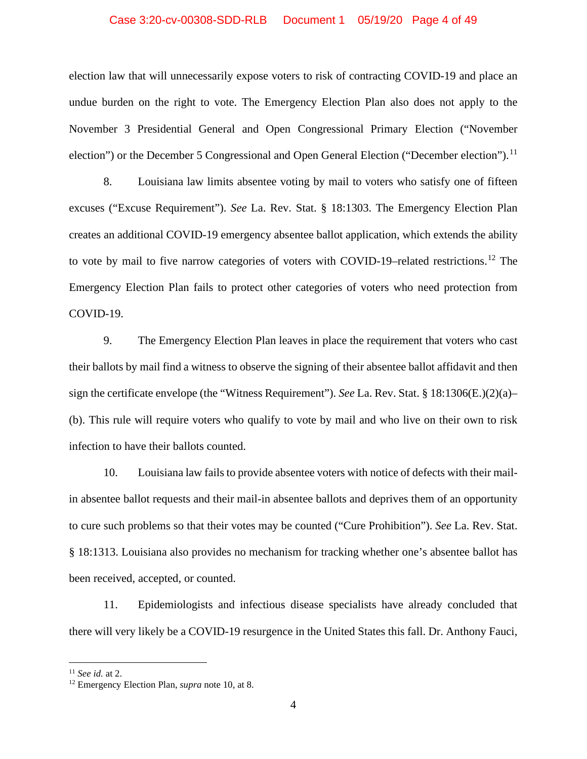#### Case 3:20-cv-00308-SDD-RLB Document 1 05/19/20 Page 4 of 49

election law that will unnecessarily expose voters to risk of contracting COVID-19 and place an undue burden on the right to vote. The Emergency Election Plan also does not apply to the November 3 Presidential General and Open Congressional Primary Election ("November election") or the December 5 Congressional and Open General Election ("December election").<sup>[11](#page-3-0)</sup>

8. Louisiana law limits absentee voting by mail to voters who satisfy one of fifteen excuses ("Excuse Requirement"). *See* La. Rev. Stat. § 18:1303. The Emergency Election Plan creates an additional COVID-19 emergency absentee ballot application, which extends the ability to vote by mail to five narrow categories of voters with COVID-19-related restrictions.<sup>[12](#page-3-1)</sup> The Emergency Election Plan fails to protect other categories of voters who need protection from COVID-19.

9. The Emergency Election Plan leaves in place the requirement that voters who cast their ballots by mail find a witness to observe the signing of their absentee ballot affidavit and then sign the certificate envelope (the "Witness Requirement"). *See* La. Rev. Stat. § 18:1306(E.)(2)(a)– (b). This rule will require voters who qualify to vote by mail and who live on their own to risk infection to have their ballots counted.

10. Louisiana law fails to provide absentee voters with notice of defects with their mailin absentee ballot requests and their mail-in absentee ballots and deprives them of an opportunity to cure such problems so that their votes may be counted ("Cure Prohibition"). *See* La. Rev. Stat. § 18:1313. Louisiana also provides no mechanism for tracking whether one's absentee ballot has been received, accepted, or counted.

11. Epidemiologists and infectious disease specialists have already concluded that there will very likely be a COVID-19 resurgence in the United States this fall. Dr. Anthony Fauci,

<span id="page-3-0"></span><sup>11</sup> *See id.* at 2.

<span id="page-3-1"></span><sup>12</sup> Emergency Election Plan, *supra* note 10, at 8.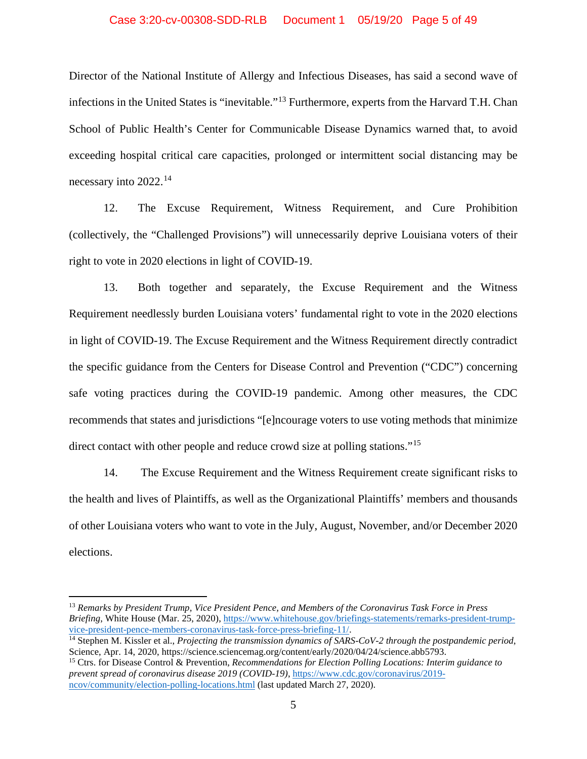### Case 3:20-cv-00308-SDD-RLB Document 1 05/19/20 Page 5 of 49

Director of the National Institute of Allergy and Infectious Diseases, has said a second wave of infections in the United States is "inevitable."[13](#page-4-0) Furthermore, experts from the Harvard T.H. Chan School of Public Health's Center for Communicable Disease Dynamics warned that, to avoid exceeding hospital critical care capacities, prolonged or intermittent social distancing may be necessary into 2022.[14](#page-4-1)

12. The Excuse Requirement, Witness Requirement, and Cure Prohibition (collectively, the "Challenged Provisions") will unnecessarily deprive Louisiana voters of their right to vote in 2020 elections in light of COVID-19.

13. Both together and separately, the Excuse Requirement and the Witness Requirement needlessly burden Louisiana voters' fundamental right to vote in the 2020 elections in light of COVID-19. The Excuse Requirement and the Witness Requirement directly contradict the specific guidance from the Centers for Disease Control and Prevention ("CDC") concerning safe voting practices during the COVID-19 pandemic. Among other measures, the CDC recommends that states and jurisdictions "[e]ncourage voters to use voting methods that minimize direct contact with other people and reduce crowd size at polling stations."<sup>[15](#page-4-2)</sup>

14. The Excuse Requirement and the Witness Requirement create significant risks to the health and lives of Plaintiffs, as well as the Organizational Plaintiffs' members and thousands of other Louisiana voters who want to vote in the July, August, November, and/or December 2020 elections.

<span id="page-4-0"></span><sup>13</sup> *Remarks by President Trump, Vice President Pence, and Members of the Coronavirus Task Force in Press Briefing*, White House (Mar. 25, 2020), [https://www.whitehouse.gov/briefings-statements/remarks-president-trump](https://www.whitehouse.gov/briefings-statements/remarks-president-trump-vice-president-pence-members-coronavirus-task-force-press-briefing-11/)[vice-president-pence-members-coronavirus-task-force-press-briefing-11/.](https://www.whitehouse.gov/briefings-statements/remarks-president-trump-vice-president-pence-members-coronavirus-task-force-press-briefing-11/)

<span id="page-4-1"></span><sup>14</sup> Stephen M. Kissler et al., *Projecting the transmission dynamics of SARS-CoV-2 through the postpandemic period*, Science, Apr. 14, 2020[, https://science.sciencemag.org/content/early/2020/04/24/science.abb5793.](https://science.sciencemag.org/content/early/2020/04/24/science.abb5793)

<span id="page-4-2"></span><sup>15</sup> Ctrs. for Disease Control & Prevention, *Recommendations for Election Polling Locations: Interim guidance to prevent spread of coronavirus disease 2019 (COVID-19)*, [https://www.cdc.gov/coronavirus/2019](https://www.cdc.gov/coronavirus/2019-ncov/community/election-polling-locations.html) [ncov/community/election-polling-locations.html](https://www.cdc.gov/coronavirus/2019-ncov/community/election-polling-locations.html) (last updated March 27, 2020).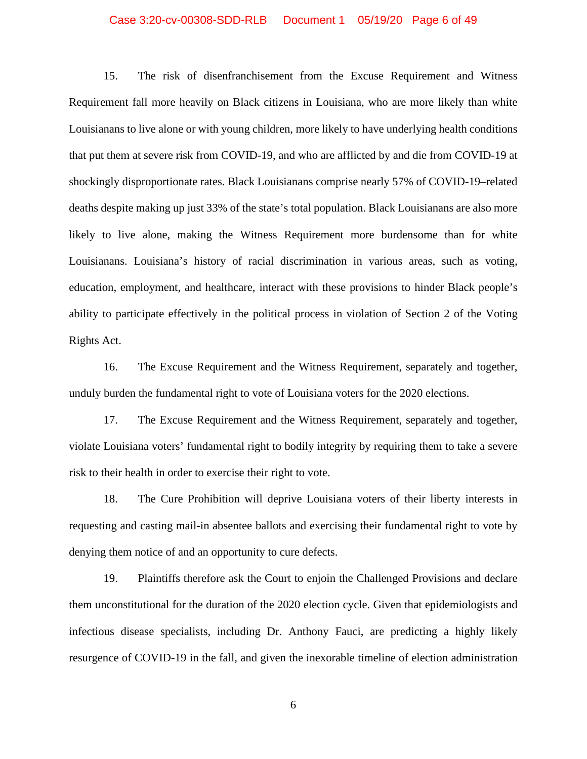#### Case 3:20-cv-00308-SDD-RLB Document 1 05/19/20 Page 6 of 49

15. The risk of disenfranchisement from the Excuse Requirement and Witness Requirement fall more heavily on Black citizens in Louisiana, who are more likely than white Louisianans to live alone or with young children, more likely to have underlying health conditions that put them at severe risk from COVID-19, and who are afflicted by and die from COVID-19 at shockingly disproportionate rates. Black Louisianans comprise nearly 57% of COVID-19–related deaths despite making up just 33% of the state's total population. Black Louisianans are also more likely to live alone, making the Witness Requirement more burdensome than for white Louisianans. Louisiana's history of racial discrimination in various areas, such as voting, education, employment, and healthcare, interact with these provisions to hinder Black people's ability to participate effectively in the political process in violation of Section 2 of the Voting Rights Act.

16. The Excuse Requirement and the Witness Requirement, separately and together, unduly burden the fundamental right to vote of Louisiana voters for the 2020 elections.

17. The Excuse Requirement and the Witness Requirement, separately and together, violate Louisiana voters' fundamental right to bodily integrity by requiring them to take a severe risk to their health in order to exercise their right to vote.

18. The Cure Prohibition will deprive Louisiana voters of their liberty interests in requesting and casting mail-in absentee ballots and exercising their fundamental right to vote by denying them notice of and an opportunity to cure defects.

19. Plaintiffs therefore ask the Court to enjoin the Challenged Provisions and declare them unconstitutional for the duration of the 2020 election cycle. Given that epidemiologists and infectious disease specialists, including Dr. Anthony Fauci, are predicting a highly likely resurgence of COVID-19 in the fall, and given the inexorable timeline of election administration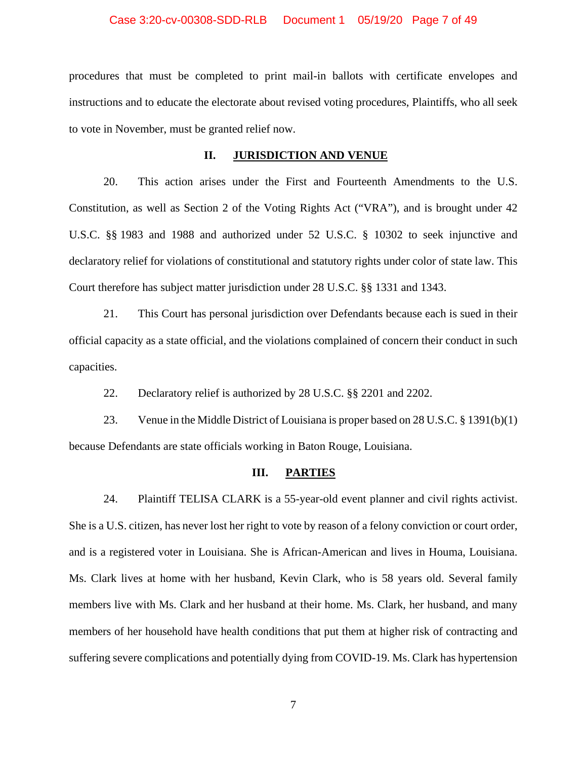#### Case 3:20-cv-00308-SDD-RLB Document 1 05/19/20 Page 7 of 49

procedures that must be completed to print mail-in ballots with certificate envelopes and instructions and to educate the electorate about revised voting procedures, Plaintiffs, who all seek to vote in November, must be granted relief now.

### **II. JURISDICTION AND VENUE**

20. This action arises under the First and Fourteenth Amendments to the U.S. Constitution, as well as Section 2 of the Voting Rights Act ("VRA"), and is brought under 42 U.S.C. §§ 1983 and 1988 and authorized under 52 U.S.C. § 10302 to seek injunctive and declaratory relief for violations of constitutional and statutory rights under color of state law. This Court therefore has subject matter jurisdiction under 28 U.S.C. §§ 1331 and 1343.

21. This Court has personal jurisdiction over Defendants because each is sued in their official capacity as a state official, and the violations complained of concern their conduct in such capacities.

22. Declaratory relief is authorized by 28 U.S.C. §§ 2201 and 2202.

23. Venue in the Middle District of Louisiana is proper based on 28 U.S.C. § 1391(b)(1) because Defendants are state officials working in Baton Rouge, Louisiana.

### **III. PARTIES**

24. Plaintiff TELISA CLARK is a 55-year-old event planner and civil rights activist. She is a U.S. citizen, has never lost her right to vote by reason of a felony conviction or court order, and is a registered voter in Louisiana. She is African-American and lives in Houma, Louisiana. Ms. Clark lives at home with her husband, Kevin Clark, who is 58 years old. Several family members live with Ms. Clark and her husband at their home. Ms. Clark, her husband, and many members of her household have health conditions that put them at higher risk of contracting and suffering severe complications and potentially dying from COVID-19. Ms. Clark has hypertension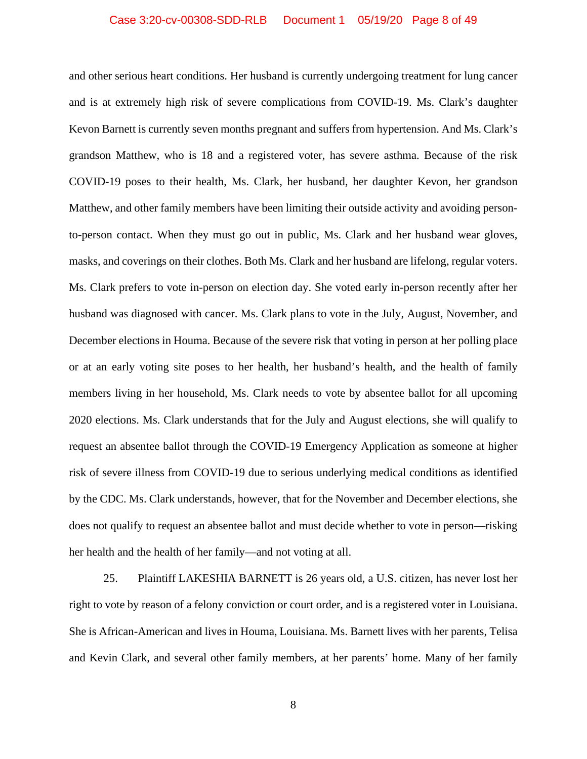#### Case 3:20-cv-00308-SDD-RLB Document 1 05/19/20 Page 8 of 49

and other serious heart conditions. Her husband is currently undergoing treatment for lung cancer and is at extremely high risk of severe complications from COVID-19. Ms. Clark's daughter Kevon Barnett is currently seven months pregnant and suffers from hypertension. And Ms. Clark's grandson Matthew, who is 18 and a registered voter, has severe asthma. Because of the risk COVID-19 poses to their health, Ms. Clark, her husband, her daughter Kevon, her grandson Matthew, and other family members have been limiting their outside activity and avoiding personto-person contact. When they must go out in public, Ms. Clark and her husband wear gloves, masks, and coverings on their clothes. Both Ms. Clark and her husband are lifelong, regular voters. Ms. Clark prefers to vote in-person on election day. She voted early in-person recently after her husband was diagnosed with cancer. Ms. Clark plans to vote in the July, August, November, and December elections in Houma. Because of the severe risk that voting in person at her polling place or at an early voting site poses to her health, her husband's health, and the health of family members living in her household, Ms. Clark needs to vote by absentee ballot for all upcoming 2020 elections. Ms. Clark understands that for the July and August elections, she will qualify to request an absentee ballot through the COVID-19 Emergency Application as someone at higher risk of severe illness from COVID-19 due to serious underlying medical conditions as identified by the CDC. Ms. Clark understands, however, that for the November and December elections, she does not qualify to request an absentee ballot and must decide whether to vote in person—risking her health and the health of her family—and not voting at all.

25. Plaintiff LAKESHIA BARNETT is 26 years old, a U.S. citizen, has never lost her right to vote by reason of a felony conviction or court order, and is a registered voter in Louisiana. She is African-American and lives in Houma, Louisiana. Ms. Barnett lives with her parents, Telisa and Kevin Clark, and several other family members, at her parents' home. Many of her family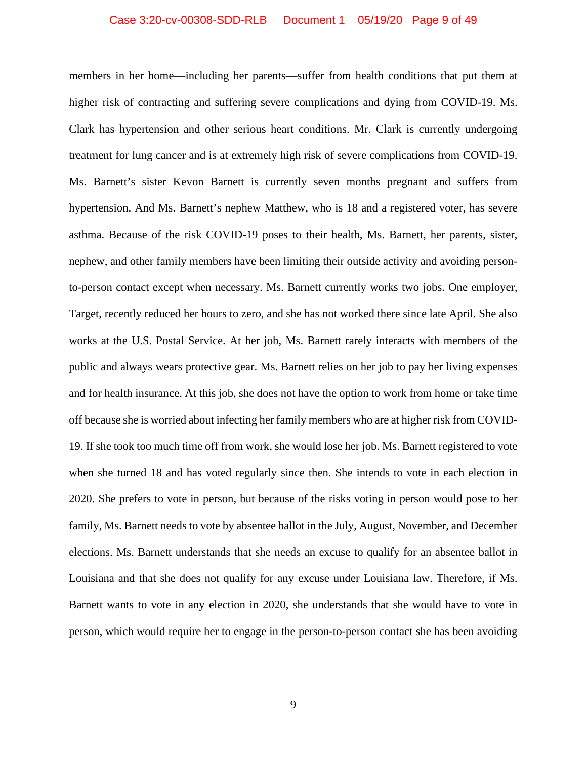#### Case 3:20-cv-00308-SDD-RLB Document 1 05/19/20 Page 9 of 49

members in her home—including her parents—suffer from health conditions that put them at higher risk of contracting and suffering severe complications and dying from COVID-19. Ms. Clark has hypertension and other serious heart conditions. Mr. Clark is currently undergoing treatment for lung cancer and is at extremely high risk of severe complications from COVID-19. Ms. Barnett's sister Kevon Barnett is currently seven months pregnant and suffers from hypertension. And Ms. Barnett's nephew Matthew, who is 18 and a registered voter, has severe asthma. Because of the risk COVID-19 poses to their health, Ms. Barnett, her parents, sister, nephew, and other family members have been limiting their outside activity and avoiding personto-person contact except when necessary. Ms. Barnett currently works two jobs. One employer, Target, recently reduced her hours to zero, and she has not worked there since late April. She also works at the U.S. Postal Service. At her job, Ms. Barnett rarely interacts with members of the public and always wears protective gear. Ms. Barnett relies on her job to pay her living expenses and for health insurance. At this job, she does not have the option to work from home or take time off because she is worried about infecting her family members who are at higher risk from COVID-19. If she took too much time off from work, she would lose her job. Ms. Barnett registered to vote when she turned 18 and has voted regularly since then. She intends to vote in each election in 2020. She prefers to vote in person, but because of the risks voting in person would pose to her family, Ms. Barnett needs to vote by absentee ballot in the July, August, November, and December elections. Ms. Barnett understands that she needs an excuse to qualify for an absentee ballot in Louisiana and that she does not qualify for any excuse under Louisiana law. Therefore, if Ms. Barnett wants to vote in any election in 2020, she understands that she would have to vote in person, which would require her to engage in the person-to-person contact she has been avoiding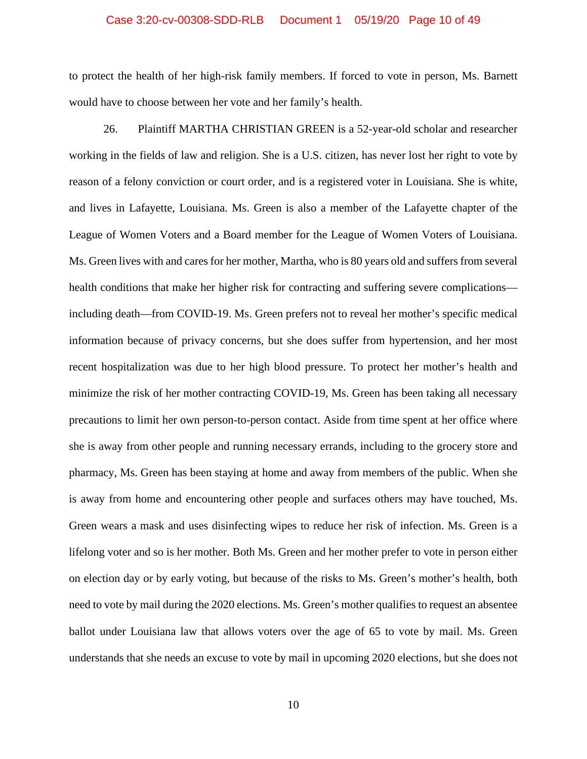### Case 3:20-cv-00308-SDD-RLB Document 1 05/19/20 Page 10 of 49

to protect the health of her high-risk family members. If forced to vote in person, Ms. Barnett would have to choose between her vote and her family's health.

26. Plaintiff MARTHA CHRISTIAN GREEN is a 52-year-old scholar and researcher working in the fields of law and religion. She is a U.S. citizen, has never lost her right to vote by reason of a felony conviction or court order, and is a registered voter in Louisiana. She is white, and lives in Lafayette, Louisiana. Ms. Green is also a member of the Lafayette chapter of the League of Women Voters and a Board member for the League of Women Voters of Louisiana. Ms. Green lives with and cares for her mother, Martha, who is 80 years old and suffers from several health conditions that make her higher risk for contracting and suffering severe complications including death—from COVID-19. Ms. Green prefers not to reveal her mother's specific medical information because of privacy concerns, but she does suffer from hypertension, and her most recent hospitalization was due to her high blood pressure. To protect her mother's health and minimize the risk of her mother contracting COVID-19, Ms. Green has been taking all necessary precautions to limit her own person-to-person contact. Aside from time spent at her office where she is away from other people and running necessary errands, including to the grocery store and pharmacy, Ms. Green has been staying at home and away from members of the public. When she is away from home and encountering other people and surfaces others may have touched, Ms. Green wears a mask and uses disinfecting wipes to reduce her risk of infection. Ms. Green is a lifelong voter and so is her mother. Both Ms. Green and her mother prefer to vote in person either on election day or by early voting, but because of the risks to Ms. Green's mother's health, both need to vote by mail during the 2020 elections. Ms. Green's mother qualifies to request an absentee ballot under Louisiana law that allows voters over the age of 65 to vote by mail. Ms. Green understands that she needs an excuse to vote by mail in upcoming 2020 elections, but she does not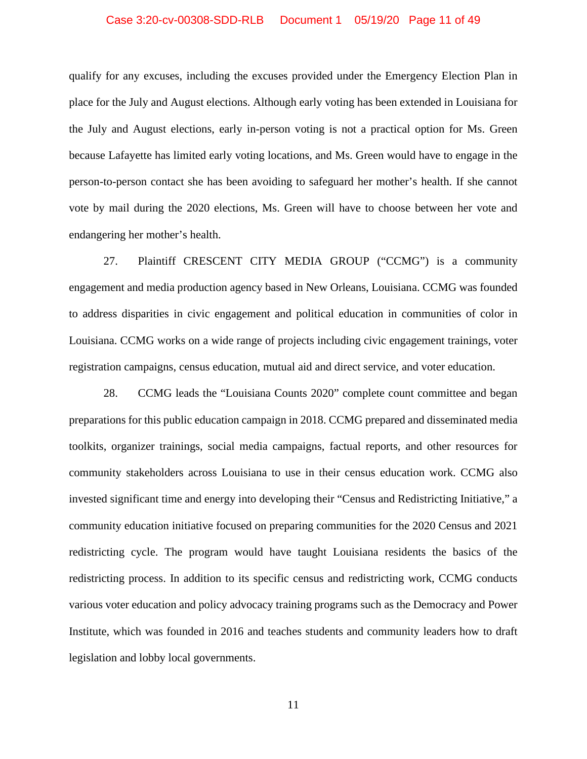### Case 3:20-cv-00308-SDD-RLB Document 1 05/19/20 Page 11 of 49

qualify for any excuses, including the excuses provided under the Emergency Election Plan in place for the July and August elections. Although early voting has been extended in Louisiana for the July and August elections, early in-person voting is not a practical option for Ms. Green because Lafayette has limited early voting locations, and Ms. Green would have to engage in the person-to-person contact she has been avoiding to safeguard her mother's health. If she cannot vote by mail during the 2020 elections, Ms. Green will have to choose between her vote and endangering her mother's health.

27. Plaintiff CRESCENT CITY MEDIA GROUP ("CCMG") is a community engagement and media production agency based in New Orleans, Louisiana. CCMG was founded to address disparities in civic engagement and political education in communities of color in Louisiana. CCMG works on a wide range of projects including civic engagement trainings, voter registration campaigns, census education, mutual aid and direct service, and voter education.

28. CCMG leads the "Louisiana Counts 2020" complete count committee and began preparations for this public education campaign in 2018. CCMG prepared and disseminated media toolkits, organizer trainings, social media campaigns, factual reports, and other resources for community stakeholders across Louisiana to use in their census education work. CCMG also invested significant time and energy into developing their "Census and Redistricting Initiative," a community education initiative focused on preparing communities for the 2020 Census and 2021 redistricting cycle. The program would have taught Louisiana residents the basics of the redistricting process. In addition to its specific census and redistricting work, CCMG conducts various voter education and policy advocacy training programs such as the Democracy and Power Institute, which was founded in 2016 and teaches students and community leaders how to draft legislation and lobby local governments.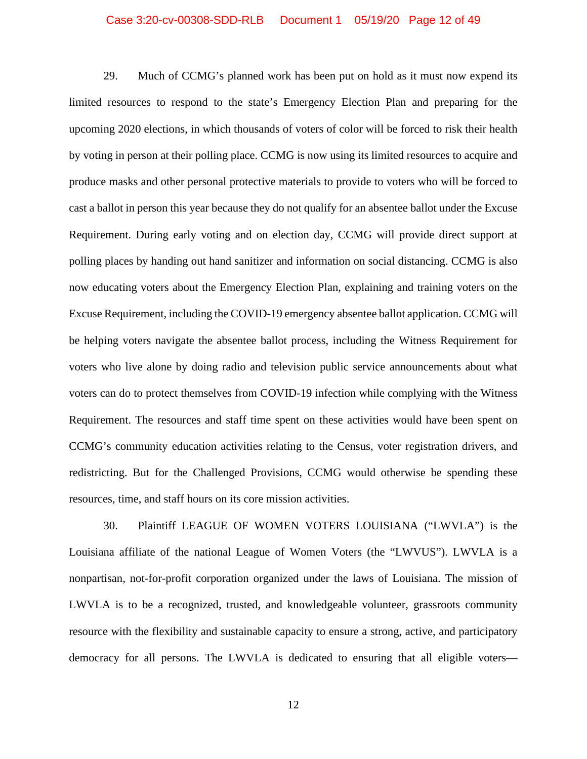### Case 3:20-cv-00308-SDD-RLB Document 1 05/19/20 Page 12 of 49

29. Much of CCMG's planned work has been put on hold as it must now expend its limited resources to respond to the state's Emergency Election Plan and preparing for the upcoming 2020 elections, in which thousands of voters of color will be forced to risk their health by voting in person at their polling place. CCMG is now using its limited resources to acquire and produce masks and other personal protective materials to provide to voters who will be forced to cast a ballot in person this year because they do not qualify for an absentee ballot under the Excuse Requirement. During early voting and on election day, CCMG will provide direct support at polling places by handing out hand sanitizer and information on social distancing. CCMG is also now educating voters about the Emergency Election Plan, explaining and training voters on the Excuse Requirement, including the COVID-19 emergency absentee ballot application. CCMG will be helping voters navigate the absentee ballot process, including the Witness Requirement for voters who live alone by doing radio and television public service announcements about what voters can do to protect themselves from COVID-19 infection while complying with the Witness Requirement. The resources and staff time spent on these activities would have been spent on CCMG's community education activities relating to the Census, voter registration drivers, and redistricting. But for the Challenged Provisions, CCMG would otherwise be spending these resources, time, and staff hours on its core mission activities.

30. Plaintiff LEAGUE OF WOMEN VOTERS LOUISIANA ("LWVLA") is the Louisiana affiliate of the national League of Women Voters (the "LWVUS"). LWVLA is a nonpartisan, not-for-profit corporation organized under the laws of Louisiana. The mission of LWVLA is to be a recognized, trusted, and knowledgeable volunteer, grassroots community resource with the flexibility and sustainable capacity to ensure a strong, active, and participatory democracy for all persons. The LWVLA is dedicated to ensuring that all eligible voters—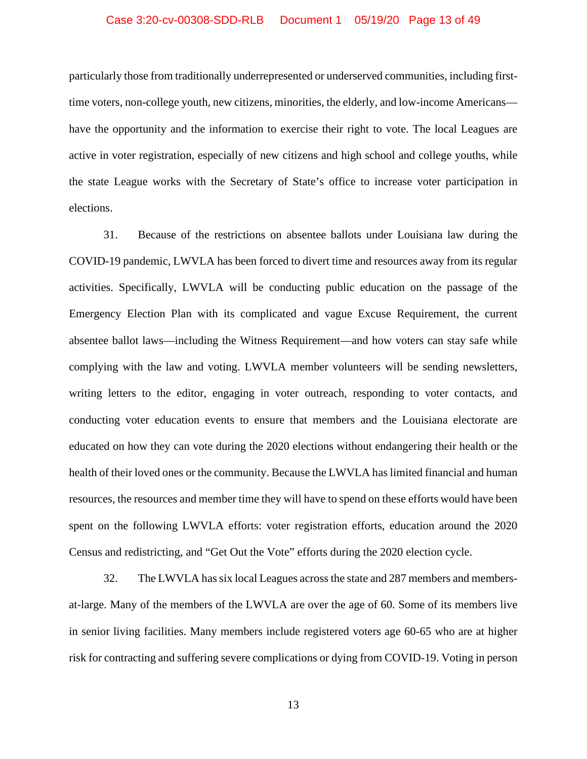### Case 3:20-cv-00308-SDD-RLB Document 1 05/19/20 Page 13 of 49

particularly those from traditionally underrepresented or underserved communities, including firsttime voters, non-college youth, new citizens, minorities, the elderly, and low-income Americans have the opportunity and the information to exercise their right to vote. The local Leagues are active in voter registration, especially of new citizens and high school and college youths, while the state League works with the Secretary of State's office to increase voter participation in elections.

31. Because of the restrictions on absentee ballots under Louisiana law during the COVID-19 pandemic, LWVLA has been forced to divert time and resources away from its regular activities. Specifically, LWVLA will be conducting public education on the passage of the Emergency Election Plan with its complicated and vague Excuse Requirement, the current absentee ballot laws—including the Witness Requirement—and how voters can stay safe while complying with the law and voting. LWVLA member volunteers will be sending newsletters, writing letters to the editor, engaging in voter outreach, responding to voter contacts, and conducting voter education events to ensure that members and the Louisiana electorate are educated on how they can vote during the 2020 elections without endangering their health or the health of their loved ones or the community. Because the LWVLA has limited financial and human resources, the resources and member time they will have to spend on these efforts would have been spent on the following LWVLA efforts: voter registration efforts, education around the 2020 Census and redistricting, and "Get Out the Vote" efforts during the 2020 election cycle.

32. The LWVLA has six local Leagues across the state and 287 members and membersat-large. Many of the members of the LWVLA are over the age of 60. Some of its members live in senior living facilities. Many members include registered voters age 60-65 who are at higher risk for contracting and suffering severe complications or dying from COVID-19. Voting in person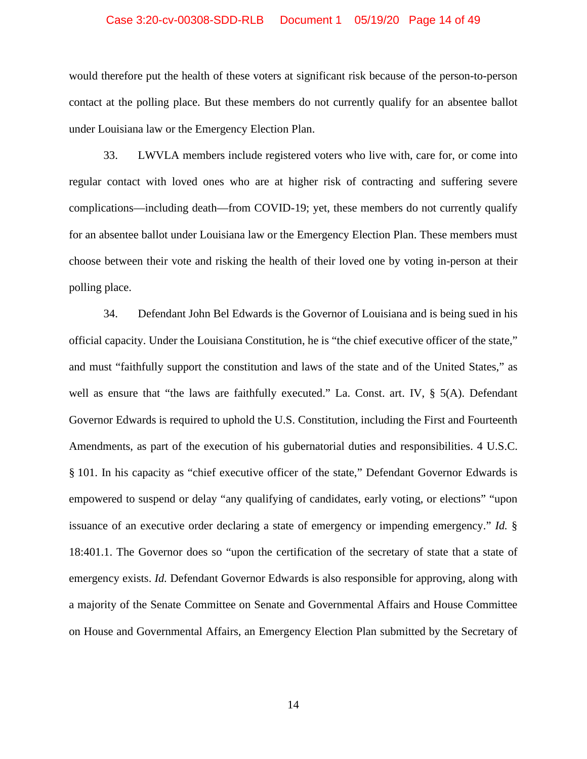### Case 3:20-cv-00308-SDD-RLB Document 1 05/19/20 Page 14 of 49

would therefore put the health of these voters at significant risk because of the person-to-person contact at the polling place. But these members do not currently qualify for an absentee ballot under Louisiana law or the Emergency Election Plan.

33. LWVLA members include registered voters who live with, care for, or come into regular contact with loved ones who are at higher risk of contracting and suffering severe complications—including death—from COVID-19; yet, these members do not currently qualify for an absentee ballot under Louisiana law or the Emergency Election Plan. These members must choose between their vote and risking the health of their loved one by voting in-person at their polling place.

34. Defendant John Bel Edwards is the Governor of Louisiana and is being sued in his official capacity. Under the Louisiana Constitution, he is "the chief executive officer of the state," and must "faithfully support the constitution and laws of the state and of the United States," as well as ensure that "the laws are faithfully executed." La. Const. art. IV, § 5(A). Defendant Governor Edwards is required to uphold the U.S. Constitution, including the First and Fourteenth Amendments, as part of the execution of his gubernatorial duties and responsibilities. 4 U.S.C. § 101. In his capacity as "chief executive officer of the state," Defendant Governor Edwards is empowered to suspend or delay "any qualifying of candidates, early voting, or elections" "upon issuance of an executive order declaring a state of emergency or impending emergency." *Id.* § 18:401.1. The Governor does so "upon the certification of the secretary of state that a state of emergency exists. *Id.* Defendant Governor Edwards is also responsible for approving, along with a majority of the Senate Committee on Senate and Governmental Affairs and House Committee on House and Governmental Affairs, an Emergency Election Plan submitted by the Secretary of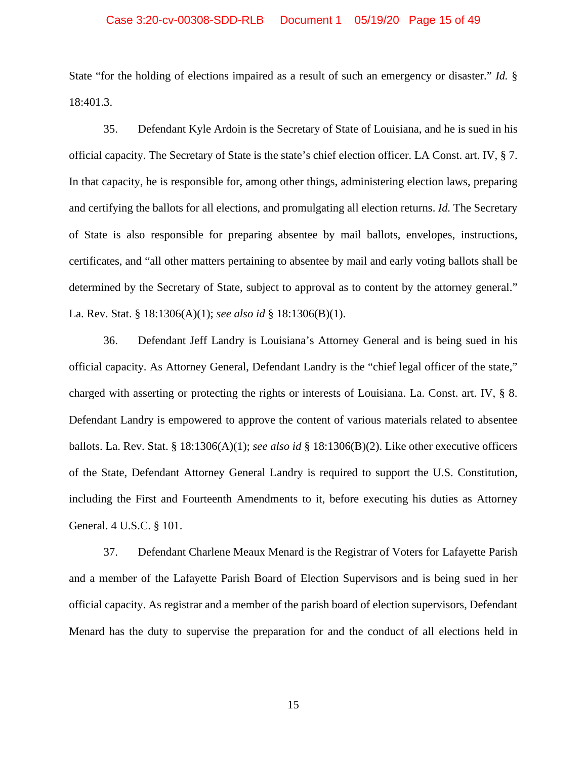### Case 3:20-cv-00308-SDD-RLB Document 1 05/19/20 Page 15 of 49

State "for the holding of elections impaired as a result of such an emergency or disaster." *Id.* § 18:401.3.

35. Defendant Kyle Ardoin is the Secretary of State of Louisiana, and he is sued in his official capacity. The Secretary of State is the state's chief election officer. LA Const. art. IV, § 7. In that capacity, he is responsible for, among other things, administering election laws, preparing and certifying the ballots for all elections, and promulgating all election returns. *Id.* The Secretary of State is also responsible for preparing absentee by mail ballots, envelopes, instructions, certificates, and "all other matters pertaining to absentee by mail and early voting ballots shall be determined by the Secretary of State, subject to approval as to content by the attorney general." La. Rev. Stat. § 18:1306(A)(1); *see also id* § 18:1306(B)(1).

36. Defendant Jeff Landry is Louisiana's Attorney General and is being sued in his official capacity. As Attorney General, Defendant Landry is the "chief legal officer of the state," charged with asserting or protecting the rights or interests of Louisiana. La. Const. art. IV, § 8. Defendant Landry is empowered to approve the content of various materials related to absentee ballots. La. Rev. Stat. § 18:1306(A)(1); *see also id* § 18:1306(B)(2). Like other executive officers of the State, Defendant Attorney General Landry is required to support the U.S. Constitution, including the First and Fourteenth Amendments to it, before executing his duties as Attorney General. 4 U.S.C. § 101.

37. Defendant Charlene Meaux Menard is the Registrar of Voters for Lafayette Parish and a member of the Lafayette Parish Board of Election Supervisors and is being sued in her official capacity. As registrar and a member of the parish board of election supervisors, Defendant Menard has the duty to supervise the preparation for and the conduct of all elections held in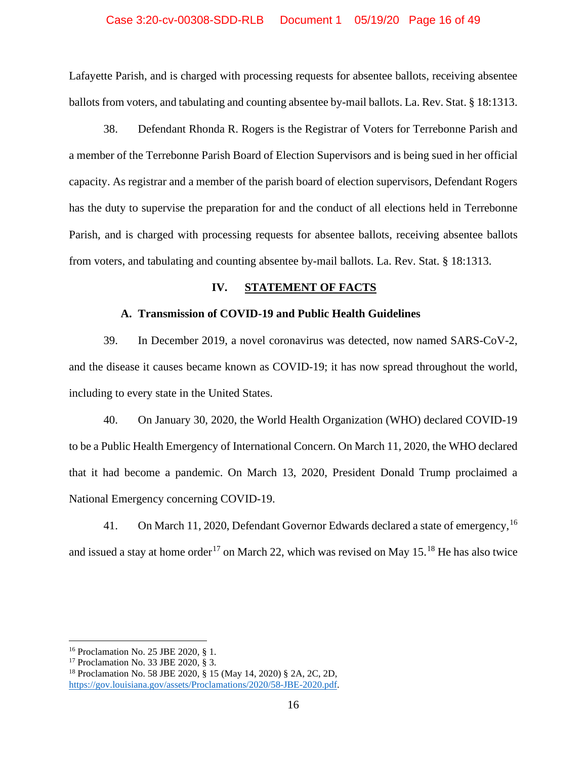### Case 3:20-cv-00308-SDD-RLB Document 1 05/19/20 Page 16 of 49

Lafayette Parish, and is charged with processing requests for absentee ballots, receiving absentee ballots from voters, and tabulating and counting absentee by-mail ballots. La. Rev. Stat. § 18:1313.

38. Defendant Rhonda R. Rogers is the Registrar of Voters for Terrebonne Parish and a member of the Terrebonne Parish Board of Election Supervisors and is being sued in her official capacity. As registrar and a member of the parish board of election supervisors, Defendant Rogers has the duty to supervise the preparation for and the conduct of all elections held in Terrebonne Parish, and is charged with processing requests for absentee ballots, receiving absentee ballots from voters, and tabulating and counting absentee by-mail ballots. La. Rev. Stat. § 18:1313.

## **IV. STATEMENT OF FACTS**

### **A. Transmission of COVID-19 and Public Health Guidelines**

39. In December 2019, a novel coronavirus was detected, now named SARS-CoV-2, and the disease it causes became known as COVID-19; it has now spread throughout the world, including to every state in the United States.

40. On January 30, 2020, the World Health Organization (WHO) declared COVID-19 to be a Public Health Emergency of International Concern. On March 11, 2020, the WHO declared that it had become a pandemic. On March 13, 2020, President Donald Trump proclaimed a National Emergency concerning COVID-19.

41. On March 11, 2020, Defendant Governor Edwards declared a state of emergency, <sup>[16](#page-15-0)</sup> and issued a stay at home order<sup>[17](#page-15-1)</sup> on March 22, which was revised on May  $15.^{18}$  $15.^{18}$  $15.^{18}$  He has also twice

<span id="page-15-0"></span><sup>16</sup> Proclamation No. 25 JBE 2020, § 1.

<span id="page-15-1"></span><sup>17</sup> Proclamation No. 33 JBE 2020, § 3.

<span id="page-15-2"></span><sup>18</sup> Proclamation No. 58 JBE 2020, § 15 (May 14, 2020) § 2A, 2C, 2D, [https://gov.louisiana.gov/assets/Proclamations/2020/58-JBE-2020.pdf.](https://gov.louisiana.gov/assets/Proclamations/2020/58-JBE-2020.pdf)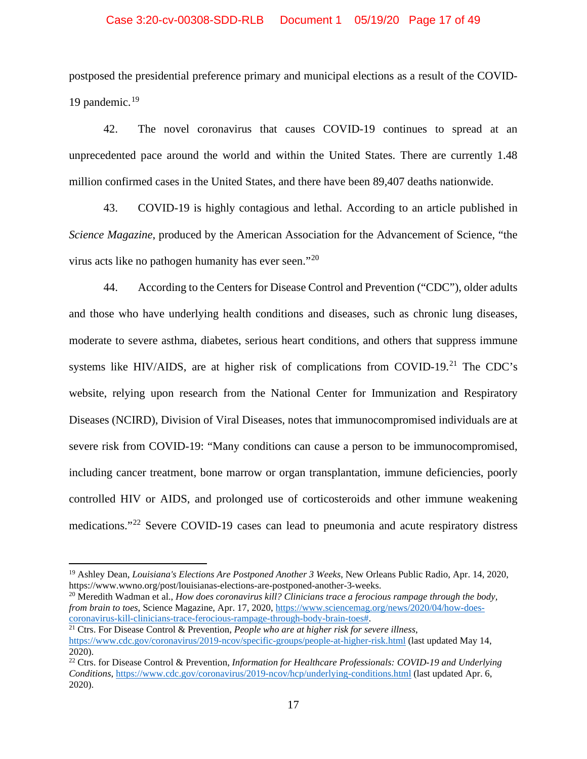### Case 3:20-cv-00308-SDD-RLB Document 1 05/19/20 Page 17 of 49

postposed the presidential preference primary and municipal elections as a result of the COVID-[19](#page-16-0) pandemic.<sup>19</sup>

42. The novel coronavirus that causes COVID-19 continues to spread at an unprecedented pace around the world and within the United States. There are currently 1.48 million confirmed cases in the United States, and there have been 89,407 deaths nationwide.

43. COVID-19 is highly contagious and lethal. According to an article published in *Science Magazine*, produced by the American Association for the Advancement of Science, "the virus acts like no pathogen humanity has ever seen."[20](#page-16-1)

44. According to the Centers for Disease Control and Prevention ("CDC"), older adults and those who have underlying health conditions and diseases, such as chronic lung diseases, moderate to severe asthma, diabetes, serious heart conditions, and others that suppress immune systems like HIV/AIDS, are at higher risk of complications from COVID-19.<sup>[21](#page-16-2)</sup> The CDC's website, relying upon research from the National Center for Immunization and Respiratory Diseases (NCIRD), Division of Viral Diseases, notes that immunocompromised individuals are at severe risk from COVID-19: "Many conditions can cause a person to be immunocompromised, including cancer treatment, bone marrow or organ transplantation, immune deficiencies, poorly controlled HIV or AIDS, and prolonged use of corticosteroids and other immune weakening medications."[22](#page-16-3) Severe COVID-19 cases can lead to pneumonia and acute respiratory distress

<span id="page-16-1"></span><sup>20</sup> Meredith Wadman et al., *How does coronavirus kill? Clinicians trace a ferocious rampage through the body, from brain to toes*, Science Magazine, Apr. 17, 2020[, https://www.sciencemag.org/news/2020/04/how-does](https://www.sciencemag.org/news/2020/04/how-does-coronavirus-kill-clinicians-trace-ferocious-rampage-through-body-brain-toes)[coronavirus-kill-clinicians-trace-ferocious-rampage-through-body-brain-toes#.](https://www.sciencemag.org/news/2020/04/how-does-coronavirus-kill-clinicians-trace-ferocious-rampage-through-body-brain-toes)

<span id="page-16-0"></span><sup>19</sup> Ashley Dean, *Louisiana's Elections Are Postponed Another 3 Weeks*, New Orleans Public Radio, Apr. 14, 2020, https://www.wwno.org/post/louisianas-elections-are-postponed-another-3-weeks.

<span id="page-16-2"></span><sup>21</sup> Ctrs. For Disease Control & Prevention, *People who are at higher risk for severe illness*, <https://www.cdc.gov/coronavirus/2019-ncov/specific-groups/people-at-higher-risk.html> (last updated May 14, 2020).

<span id="page-16-3"></span><sup>22</sup> Ctrs. for Disease Control & Prevention, *Information for Healthcare Professionals: COVID-19 and Underlying Conditions*,<https://www.cdc.gov/coronavirus/2019-ncov/hcp/underlying-conditions.html> (last updated Apr. 6, 2020).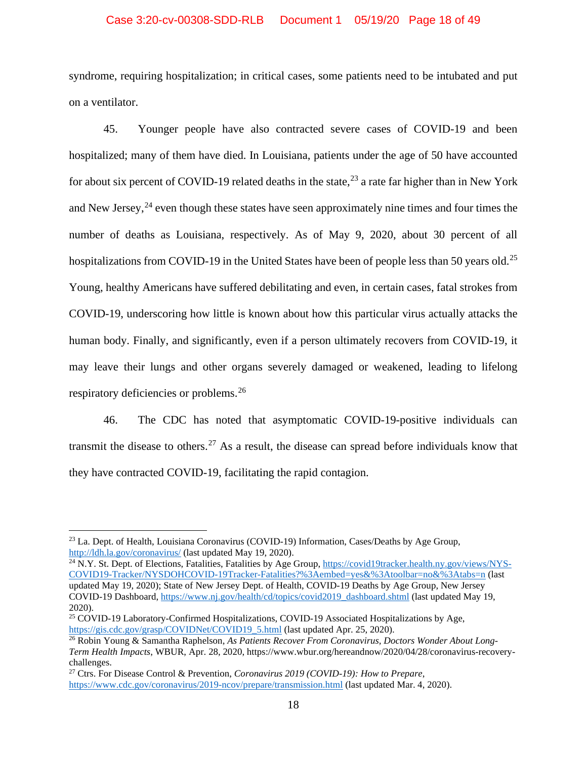### Case 3:20-cv-00308-SDD-RLB Document 1 05/19/20 Page 18 of 49

syndrome, requiring hospitalization; in critical cases, some patients need to be intubated and put on a ventilator.

45. Younger people have also contracted severe cases of COVID-19 and been hospitalized; many of them have died. In Louisiana, patients under the age of 50 have accounted for about six percent of COVID-19 related deaths in the state,<sup>[23](#page-17-0)</sup> a rate far higher than in New York and New Jersey,  $24$  even though these states have seen approximately nine times and four times the number of deaths as Louisiana, respectively. As of May 9, 2020, about 30 percent of all hospitalizations from COVID-19 in the United States have been of people less than 50 years old.<sup>[25](#page-17-2)</sup> Young, healthy Americans have suffered debilitating and even, in certain cases, fatal strokes from COVID-19, underscoring how little is known about how this particular virus actually attacks the human body. Finally, and significantly, even if a person ultimately recovers from COVID-19, it may leave their lungs and other organs severely damaged or weakened, leading to lifelong respiratory deficiencies or problems.[26](#page-17-3)

46. The CDC has noted that asymptomatic COVID-19-positive individuals can transmit the disease to others.<sup>[27](#page-17-4)</sup> As a result, the disease can spread before individuals know that they have contracted COVID-19, facilitating the rapid contagion.

<span id="page-17-1"></span><sup>24</sup> N.Y. St. Dept. of Elections, Fatalities, Fatalities by Age Group, [https://covid19tracker.health.ny.gov/views/NYS-](https://covid19tracker.health.ny.gov/views/NYS-COVID19-Tracker/NYSDOHCOVID-19Tracker-Fatalities?%3Aembed=yes&%3Atoolbar=no&%3Atabs=n)[COVID19-Tracker/NYSDOHCOVID-19Tracker-Fatalities?%3Aembed=yes&%3Atoolbar=no&%3Atabs=n](https://covid19tracker.health.ny.gov/views/NYS-COVID19-Tracker/NYSDOHCOVID-19Tracker-Fatalities?%3Aembed=yes&%3Atoolbar=no&%3Atabs=n) (last updated May 19, 2020); State of New Jersey Dept. of Health, COVID-19 Deaths by Age Group, New Jersey COVID-19 Dashboard, [https://www.nj.gov/health/cd/topics/covid2019\\_dashboard.shtml](https://www.nj.gov/health/cd/topics/covid2019_dashboard.shtml) (last updated May 19, 2020).

<span id="page-17-0"></span><sup>&</sup>lt;sup>23</sup> La. Dept. of Health, Louisiana Coronavirus (COVID-19) Information, Cases/Deaths by Age Group, <http://ldh.la.gov/coronavirus/> (last updated May 19, 2020).

<span id="page-17-2"></span><sup>25</sup> COVID-19 Laboratory-Confirmed Hospitalizations, COVID-19 Associated Hospitalizations by Age, [https://gis.cdc.gov/grasp/COVIDNet/COVID19\\_5.html](https://gis.cdc.gov/grasp/COVIDNet/COVID19_5.html) (last updated Apr. 25, 2020).

<span id="page-17-3"></span><sup>26</sup> Robin Young & Samantha Raphelson, *As Patients Recover From Coronavirus, Doctors Wonder About Long-Term Health Impacts*, WBUR, Apr. 28, 2020, https://www.wbur.org/hereandnow/2020/04/28/coronavirus-recoverychallenges.

<span id="page-17-4"></span><sup>27</sup> Ctrs. For Disease Control & Prevention, *Coronavirus 2019 (COVID-19): How to Prepare*, <https://www.cdc.gov/coronavirus/2019-ncov/prepare/transmission.html> (last updated Mar. 4, 2020).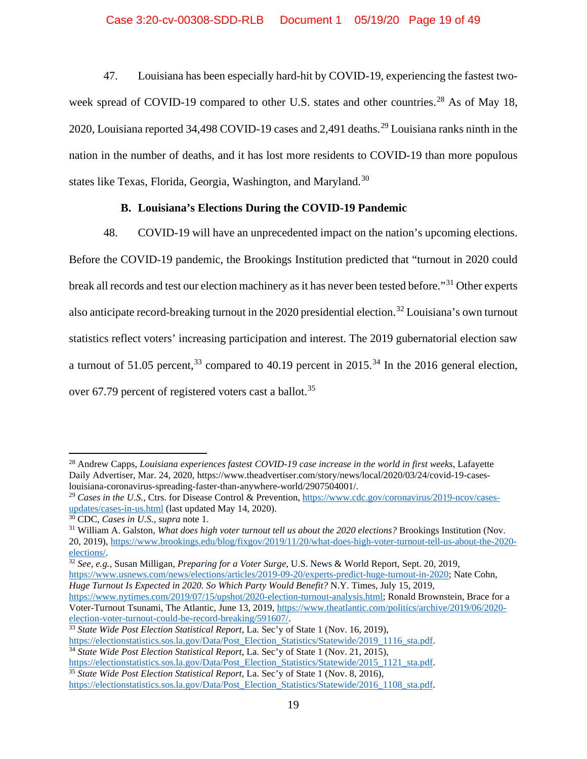## Case 3:20-cv-00308-SDD-RLB Document 1 05/19/20 Page 19 of 49

47. Louisiana has been especially hard-hit by COVID-19, experiencing the fastest two-week spread of COVID-19 compared to other U.S. states and other countries.<sup>[28](#page-18-0)</sup> As of May 18, 2020, Louisiana reported 34,498 COVID-19 cases and 2,491 deaths.<sup>[29](#page-18-1)</sup> Louisiana ranks ninth in the nation in the number of deaths, and it has lost more residents to COVID-19 than more populous states like Texas, Florida, Georgia, Washington, and Maryland.<sup>[30](#page-18-2)</sup>

# **B. Louisiana's Elections During the COVID-19 Pandemic**

48. COVID-19 will have an unprecedented impact on the nation's upcoming elections. Before the COVID-19 pandemic, the Brookings Institution predicted that "turnout in 2020 could break all records and test our election machinery as it has never been tested before."[31](#page-18-3) Other experts also anticipate record-breaking turnout in the 2020 presidential election.<sup>[32](#page-18-4)</sup> Louisiana's own turnout statistics reflect voters' increasing participation and interest. The 2019 gubernatorial election saw a turnout of 51.05 percent,  $33$  compared to 40.19 percent in 2015.<sup>[34](#page-18-6)</sup> In the 2016 general election, over 67.79 percent of registered voters cast a ballot.<sup>[35](#page-18-7)</sup>

<span id="page-18-4"></span><sup>32</sup> *See, e.g.*, Susan Milligan, *Preparing for a Voter Surge*, U.S. News & World Report, Sept. 20, 2019, [https://www.usnews.com/news/elections/articles/2019-09-20/experts-predict-huge-turnout-in-2020;](https://www.usnews.com/news/elections/articles/2019-09-20/experts-predict-huge-turnout-in-2020) Nate Cohn, *Huge Turnout Is Expected in 2020. So Which Party Would Benefit?* N.Y. Times, July 15, 2019,

<span id="page-18-0"></span><sup>28</sup> Andrew Capps, *Louisiana experiences fastest COVID-19 case increase in the world in first weeks*, Lafayette Daily Advertiser, Mar. 24, 2020, https://www.theadvertiser.com/story/news/local/2020/03/24/covid-19-caseslouisiana-coronavirus-spreading-faster-than-anywhere-world/2907504001/.

<span id="page-18-1"></span><sup>&</sup>lt;sup>29</sup> *Cases in the U.S.*, Ctrs. for Disease Control & Prevention[, https://www.cdc.gov/coronavirus/2019-ncov/cases](https://www.cdc.gov/coronavirus/2019-ncov/cases-updates/cases-in-us.html)[updates/cases-in-us.html](https://www.cdc.gov/coronavirus/2019-ncov/cases-updates/cases-in-us.html) (last updated May 14, 2020).

<span id="page-18-2"></span><sup>30</sup> CDC, *Cases in U.S.*, *supra* note 1.

<span id="page-18-3"></span><sup>31</sup> William A. Galston, *What does high voter turnout tell us about the 2020 elections?* Brookings Institution (Nov. 20, 2019), [https://www.brookings.edu/blog/fixgov/2019/11/20/what-does-high-voter-turnout-tell-us-about-the-2020](https://www.brookings.edu/blog/fixgov/2019/11/20/what-does-high-voter-turnout-tell-us-about-the-2020-elections/) [elections/.](https://www.brookings.edu/blog/fixgov/2019/11/20/what-does-high-voter-turnout-tell-us-about-the-2020-elections/)

[https://www.nytimes.com/2019/07/15/upshot/2020-election-turnout-analysis.html;](https://www.nytimes.com/2019/07/15/upshot/2020-election-turnout-analysis.html) Ronald Brownstein, Brace for a Voter-Turnout Tsunami, The Atlantic, June 13, 2019, [https://www.theatlantic.com/politics/archive/2019/06/2020](https://www.theatlantic.com/politics/archive/2019/06/2020-election-voter-turnout-could-be-record-breaking/591607/) [election-voter-turnout-could-be-record-breaking/591607/.](https://www.theatlantic.com/politics/archive/2019/06/2020-election-voter-turnout-could-be-record-breaking/591607/)

<span id="page-18-5"></span><sup>33</sup> *State Wide Post Election Statistical Report*, La. Sec'y of State 1 (Nov. 16, 2019),

[https://electionstatistics.sos.la.gov/Data/Post\\_Election\\_Statistics/Statewide/2019\\_1116\\_sta.pdf.](https://electionstatistics.sos.la.gov/Data/Post_Election_Statistics/Statewide/2019_1116_sta.pdf)

<span id="page-18-6"></span><sup>34</sup> *State Wide Post Election Statistical Report,* La. Sec'y of State 1 (Nov. 21, 2015),

[https://electionstatistics.sos.la.gov/Data/Post\\_Election\\_Statistics/Statewide/2015\\_1121\\_sta.pdf.](https://electionstatistics.sos.la.gov/Data/Post_Election_Statistics/Statewide/2015_1121_sta.pdf) <sup>35</sup> *State Wide Post Election Statistical Report*, La. Sec'y of State 1 (Nov. 8, 2016),

<span id="page-18-7"></span>[https://electionstatistics.sos.la.gov/Data/Post\\_Election\\_Statistics/Statewide/2016\\_1108\\_sta.pdf.](https://electionstatistics.sos.la.gov/Data/Post_Election_Statistics/Statewide/2016_1108_sta.pdf)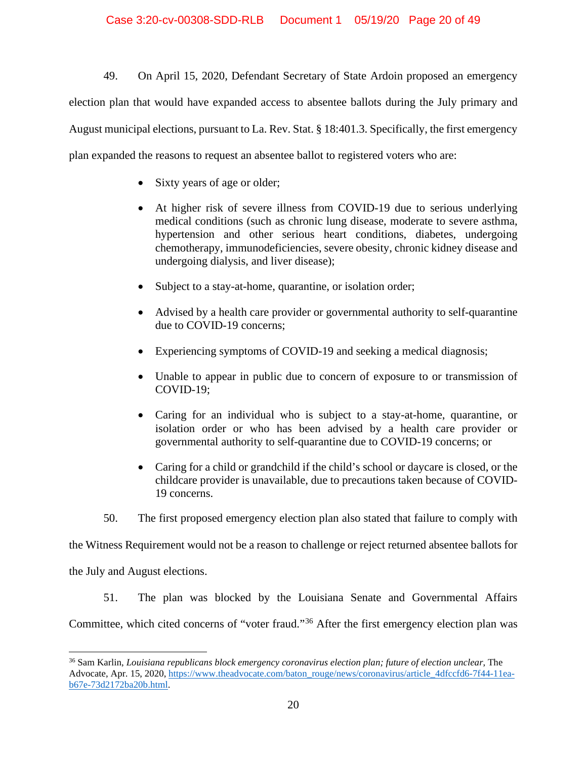49. On April 15, 2020, Defendant Secretary of State Ardoin proposed an emergency election plan that would have expanded access to absentee ballots during the July primary and August municipal elections, pursuant to La. Rev. Stat. § 18:401.3. Specifically, the first emergency plan expanded the reasons to request an absentee ballot to registered voters who are:

- Sixty years of age or older;
- At higher risk of severe illness from COVID-19 due to serious underlying medical conditions (such as chronic lung disease, moderate to severe asthma, hypertension and other serious heart conditions, diabetes, undergoing chemotherapy, immunodeficiencies, severe obesity, chronic kidney disease and undergoing dialysis, and liver disease);
- Subject to a stay-at-home, quarantine, or isolation order;
- Advised by a health care provider or governmental authority to self-quarantine due to COVID-19 concerns;
- Experiencing symptoms of COVID-19 and seeking a medical diagnosis;
- Unable to appear in public due to concern of exposure to or transmission of COVID-19;
- Caring for an individual who is subject to a stay-at-home, quarantine, or isolation order or who has been advised by a health care provider or governmental authority to self-quarantine due to COVID-19 concerns; or
- Caring for a child or grandchild if the child's school or daycare is closed, or the childcare provider is unavailable, due to precautions taken because of COVID-19 concerns.
- 50. The first proposed emergency election plan also stated that failure to comply with

the Witness Requirement would not be a reason to challenge or reject returned absentee ballots for

the July and August elections.

51. The plan was blocked by the Louisiana Senate and Governmental Affairs

Committee, which cited concerns of "voter fraud."[36](#page-19-0) After the first emergency election plan was

<span id="page-19-0"></span><sup>36</sup> Sam Karlin, *Louisiana republicans block emergency coronavirus election plan; future of election unclear*, The Advocate, Apr. 15, 2020, [https://www.theadvocate.com/baton\\_rouge/news/coronavirus/article\\_4dfccfd6-7f44-11ea](https://www.theadvocate.com/baton_rouge/news/coronavirus/article_4dfccfd6-7f44-11ea-b67e-73d2172ba20b.html)[b67e-73d2172ba20b.html.](https://www.theadvocate.com/baton_rouge/news/coronavirus/article_4dfccfd6-7f44-11ea-b67e-73d2172ba20b.html)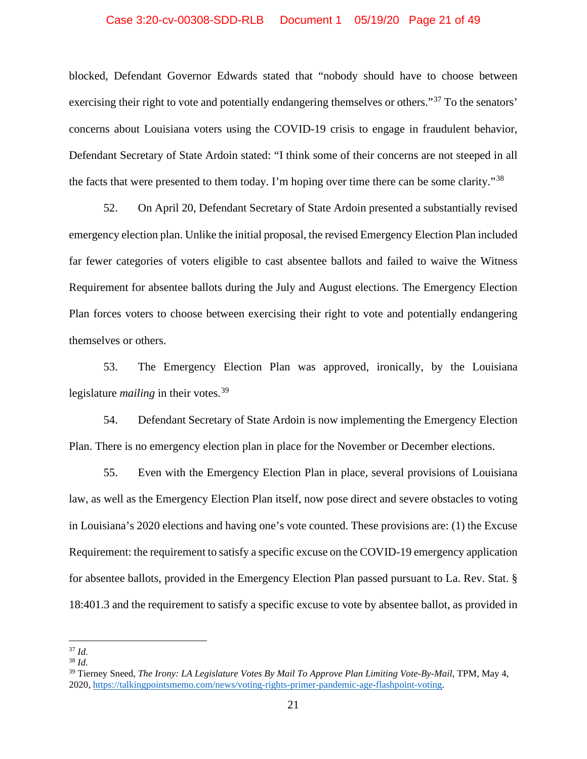### Case 3:20-cv-00308-SDD-RLB Document 1 05/19/20 Page 21 of 49

blocked, Defendant Governor Edwards stated that "nobody should have to choose between exercising their right to vote and potentially endangering themselves or others."<sup>[37](#page-20-0)</sup> To the senators' concerns about Louisiana voters using the COVID-19 crisis to engage in fraudulent behavior, Defendant Secretary of State Ardoin stated: "I think some of their concerns are not steeped in all the facts that were presented to them today. I'm hoping over time there can be some clarity."[38](#page-20-1)

52. On April 20, Defendant Secretary of State Ardoin presented a substantially revised emergency election plan. Unlike the initial proposal, the revised Emergency Election Plan included far fewer categories of voters eligible to cast absentee ballots and failed to waive the Witness Requirement for absentee ballots during the July and August elections. The Emergency Election Plan forces voters to choose between exercising their right to vote and potentially endangering themselves or others.

53. The Emergency Election Plan was approved, ironically, by the Louisiana legislature *mailing* in their votes.<sup>[39](#page-20-2)</sup>

54. Defendant Secretary of State Ardoin is now implementing the Emergency Election Plan. There is no emergency election plan in place for the November or December elections.

55. Even with the Emergency Election Plan in place, several provisions of Louisiana law, as well as the Emergency Election Plan itself, now pose direct and severe obstacles to voting in Louisiana's 2020 elections and having one's vote counted. These provisions are: (1) the Excuse Requirement: the requirement to satisfy a specific excuse on the COVID-19 emergency application for absentee ballots, provided in the Emergency Election Plan passed pursuant to La. Rev. Stat. § 18:401.3 and the requirement to satisfy a specific excuse to vote by absentee ballot, as provided in

<span id="page-20-0"></span><sup>37</sup> *Id.*

<span id="page-20-1"></span><sup>38</sup> *Id.*

<span id="page-20-2"></span><sup>39</sup> Tierney Sneed, *The Irony: LA Legislature Votes By Mail To Approve Plan Limiting Vote-By-Mail*, TPM, May 4, 2020, [https://talkingpointsmemo.com/news/voting-rights-primer-pandemic-age-flashpoint-voting.](https://talkingpointsmemo.com/news/voting-rights-primer-pandemic-age-flashpoint-voting)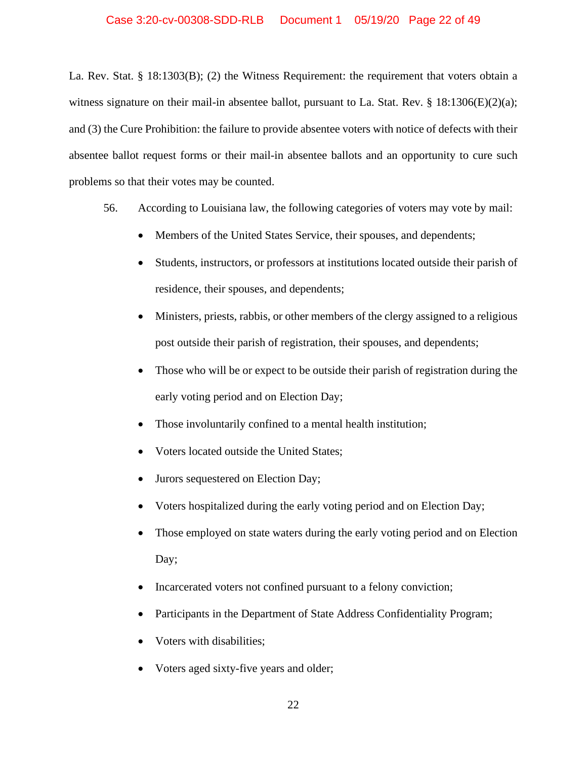La. Rev. Stat. § 18:1303(B); (2) the Witness Requirement: the requirement that voters obtain a witness signature on their mail-in absentee ballot, pursuant to La. Stat. Rev.  $\S$  18:1306(E)(2)(a); and (3) the Cure Prohibition: the failure to provide absentee voters with notice of defects with their absentee ballot request forms or their mail-in absentee ballots and an opportunity to cure such problems so that their votes may be counted.

- 56. According to Louisiana law, the following categories of voters may vote by mail:
	- Members of the United States Service, their spouses, and dependents;
	- Students, instructors, or professors at institutions located outside their parish of residence, their spouses, and dependents;
	- Ministers, priests, rabbis, or other members of the clergy assigned to a religious post outside their parish of registration, their spouses, and dependents;
	- Those who will be or expect to be outside their parish of registration during the early voting period and on Election Day;
	- Those involuntarily confined to a mental health institution;
	- Voters located outside the United States;
	- Jurors sequestered on Election Day;
	- Voters hospitalized during the early voting period and on Election Day;
	- Those employed on state waters during the early voting period and on Election Day;
	- Incarcerated voters not confined pursuant to a felony conviction;
	- Participants in the Department of State Address Confidentiality Program;
	- Voters with disabilities;
	- Voters aged sixty-five years and older;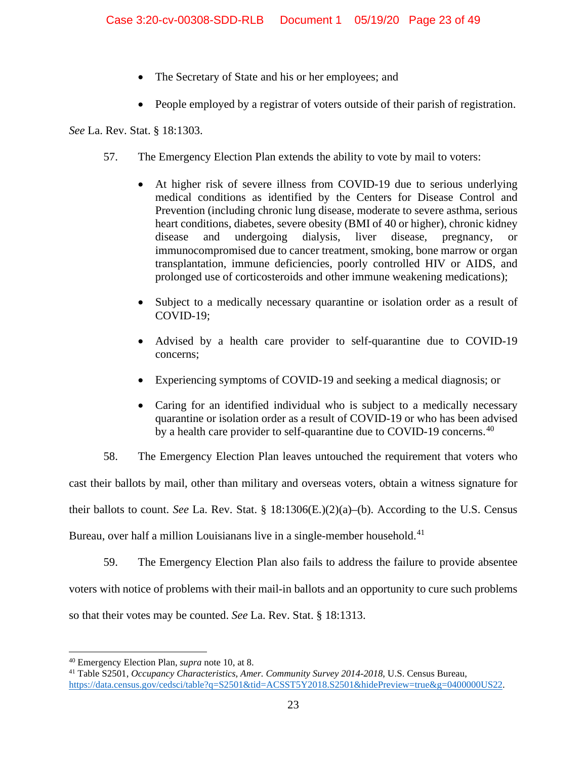- The Secretary of State and his or her employees; and
- People employed by a registrar of voters outside of their parish of registration.

*See* La. Rev. Stat. § 18:1303.

- 57. The Emergency Election Plan extends the ability to vote by mail to voters:
	- At higher risk of severe illness from COVID-19 due to serious underlying medical conditions as identified by the Centers for Disease Control and Prevention (including chronic lung disease, moderate to severe asthma, serious heart conditions, diabetes, severe obesity (BMI of 40 or higher), chronic kidney disease and undergoing dialysis, liver disease, pregnancy, immunocompromised due to cancer treatment, smoking, bone marrow or organ transplantation, immune deficiencies, poorly controlled HIV or AIDS, and prolonged use of corticosteroids and other immune weakening medications);
	- Subject to a medically necessary quarantine or isolation order as a result of COVID-19;
	- Advised by a health care provider to self-quarantine due to COVID-19 concerns;
	- Experiencing symptoms of COVID-19 and seeking a medical diagnosis; or
	- Caring for an identified individual who is subject to a medically necessary quarantine or isolation order as a result of COVID-19 or who has been advised by a health care provider to self-quarantine due to COVID-19 concerns.<sup>[40](#page-22-0)</sup>

58. The Emergency Election Plan leaves untouched the requirement that voters who cast their ballots by mail, other than military and overseas voters, obtain a witness signature for their ballots to count. *See* La. Rev. Stat. § 18:1306(E.)(2)(a)–(b). According to the U.S. Census Bureau, over half a million Louisianans live in a single-member household.<sup>[41](#page-22-1)</sup>

59. The Emergency Election Plan also fails to address the failure to provide absentee voters with notice of problems with their mail-in ballots and an opportunity to cure such problems so that their votes may be counted. *See* La. Rev. Stat. § 18:1313.

<span id="page-22-0"></span><sup>40</sup> Emergency Election Plan, *supra* note 10, at 8.

<span id="page-22-1"></span><sup>41</sup> Table S2501, *Occupancy Characteristics, Amer. Community Survey 2014-2018*, U.S. Census Bureau, [https://data.census.gov/cedsci/table?q=S2501&tid=ACSST5Y2018.S2501&hidePreview=true&g=0400000US22.](https://data.census.gov/cedsci/table?q=S2501&tid=ACSST5Y2018.S2501&hidePreview=true&g=0400000US22)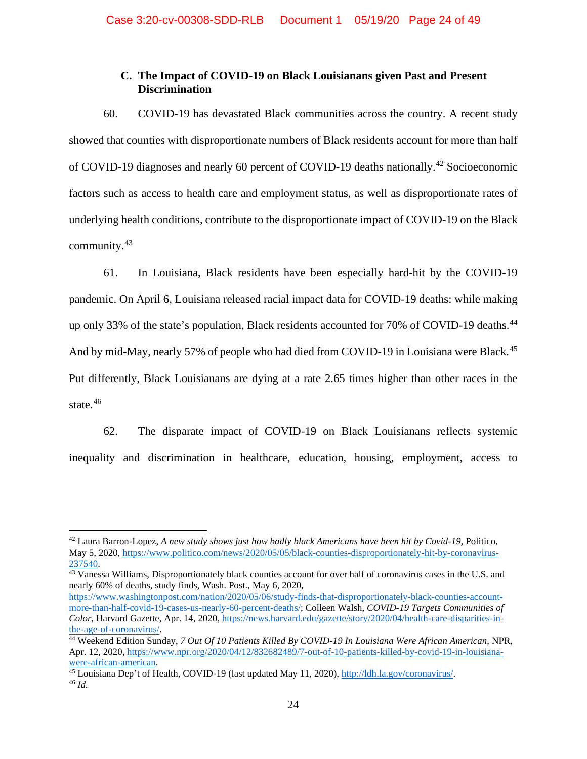# **C. The Impact of COVID-19 on Black Louisianans given Past and Present Discrimination**

60. COVID-19 has devastated Black communities across the country. A recent study showed that counties with disproportionate numbers of Black residents account for more than half of COVID-19 diagnoses and nearly 60 percent of COVID-19 deaths nationally.<sup>[42](#page-23-0)</sup> Socioeconomic factors such as access to health care and employment status, as well as disproportionate rates of underlying health conditions, contribute to the disproportionate impact of COVID-19 on the Black community.[43](#page-23-1)

61. In Louisiana, Black residents have been especially hard-hit by the COVID-19 pandemic. On April 6, Louisiana released racial impact data for COVID-19 deaths: while making up only 33% of the state's population, Black residents accounted for 70% of COVID-19 deaths.<sup>[44](#page-23-2)</sup> And by mid-May, nearly 57% of people who had died from COVID-19 in Louisiana were Black.<sup>[45](#page-23-3)</sup> Put differently, Black Louisianans are dying at a rate 2.65 times higher than other races in the state. $46$ 

62. The disparate impact of COVID-19 on Black Louisianans reflects systemic inequality and discrimination in healthcare, education, housing, employment, access to

<span id="page-23-1"></span> $\frac{43}{43}$  Vanessa Williams, Disproportionately black counties account for over half of coronavirus cases in the U.S. and nearly 60% of deaths, study finds, Wash. Post., May 6, 2020,

<span id="page-23-0"></span><sup>42</sup> Laura Barron-Lopez, *A new study shows just how badly black Americans have been hit by Covid-19*, Politico, May 5, 2020, [https://www.politico.com/news/2020/05/05/black-counties-disproportionately-hit-by-coronavirus-](https://www.politico.com/news/2020/05/05/black-counties-disproportionately-hit-by-coronavirus-237540)[237540.](https://www.politico.com/news/2020/05/05/black-counties-disproportionately-hit-by-coronavirus-237540)

[https://www.washingtonpost.com/nation/2020/05/06/study-finds-that-disproportionately-black-counties-account](https://www.washingtonpost.com/nation/2020/05/06/study-finds-that-disproportionately-black-counties-account-more-than-half-covid-19-cases-us-nearly-60-percent-deaths/)[more-than-half-covid-19-cases-us-nearly-60-percent-deaths/;](https://www.washingtonpost.com/nation/2020/05/06/study-finds-that-disproportionately-black-counties-account-more-than-half-covid-19-cases-us-nearly-60-percent-deaths/) Colleen Walsh, *COVID-19 Targets Communities of Color*, Harvard Gazette, Apr. 14, 2020[, https://news.harvard.edu/gazette/story/2020/04/health-care-disparities-in](https://news.harvard.edu/gazette/story/2020/04/health-care-disparities-in-the-age-of-coronavirus/)[the-age-of-coronavirus/.](https://news.harvard.edu/gazette/story/2020/04/health-care-disparities-in-the-age-of-coronavirus/)

<span id="page-23-2"></span><sup>44</sup> Weekend Edition Sunday, *7 Out Of 10 Patients Killed By COVID-19 In Louisiana Were African American*, NPR, Apr. 12, 2020[, https://www.npr.org/2020/04/12/832682489/7-out-of-10-patients-killed-by-covid-19-in-louisiana](https://www.npr.org/2020/04/12/832682489/7-out-of-10-patients-killed-by-covid-19-in-louisiana-were-african-american)[were-african-american.](https://www.npr.org/2020/04/12/832682489/7-out-of-10-patients-killed-by-covid-19-in-louisiana-were-african-american)

<span id="page-23-4"></span><span id="page-23-3"></span><sup>&</sup>lt;sup>45</sup> Louisiana Dep't of Health, COVID-19 (last updated May 11, 2020), [http://ldh.la.gov/coronavirus/.](http://ldh.la.gov/coronavirus/) <sup>46</sup> *Id.*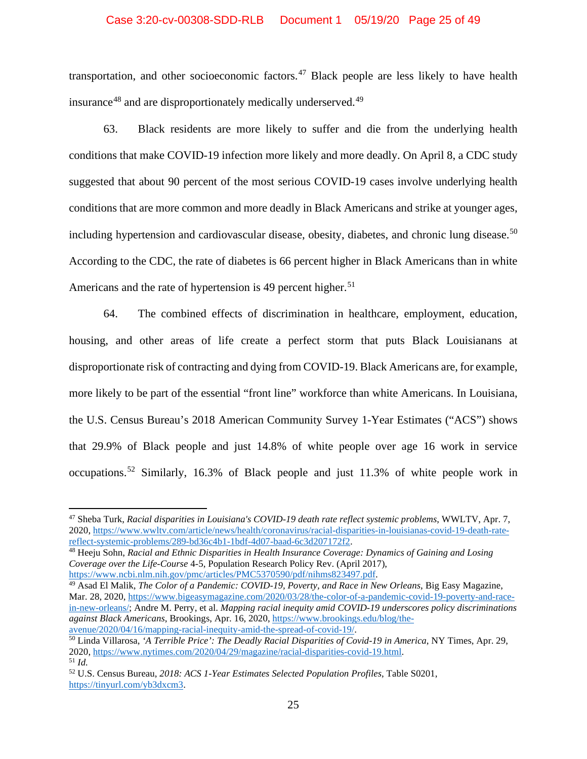### Case 3:20-cv-00308-SDD-RLB Document 1 05/19/20 Page 25 of 49

transportation, and other socioeconomic factors.[47](#page-24-0) Black people are less likely to have health insurance<sup>[48](#page-24-1)</sup> and are disproportionately medically underserved.<sup>[49](#page-24-2)</sup>

63. Black residents are more likely to suffer and die from the underlying health conditions that make COVID-19 infection more likely and more deadly. On April 8, a CDC study suggested that about 90 percent of the most serious COVID-19 cases involve underlying health conditions that are more common and more deadly in Black Americans and strike at younger ages, including hypertension and cardiovascular disease, obesity, diabetes, and chronic lung disease.<sup>[50](#page-24-3)</sup> According to the CDC, the rate of diabetes is 66 percent higher in Black Americans than in white Americans and the rate of hypertension is 49 percent higher.<sup>[51](#page-24-4)</sup>

64. The combined effects of discrimination in healthcare, employment, education, housing, and other areas of life create a perfect storm that puts Black Louisianans at disproportionate risk of contracting and dying from COVID-19. Black Americans are, for example, more likely to be part of the essential "front line" workforce than white Americans. In Louisiana, the U.S. Census Bureau's 2018 American Community Survey 1-Year Estimates ("ACS") shows that 29.9% of Black people and just 14.8% of white people over age 16 work in service occupations.[52](#page-24-5) Similarly, 16.3% of Black people and just 11.3% of white people work in

<span id="page-24-2"></span><sup>49</sup> Asad El Malik, *The Color of a Pandemic: COVID-19, Poverty, and Race in New Orleans*, Big Easy Magazine, Mar. 28, 2020[, https://www.bigeasymagazine.com/2020/03/28/the-color-of-a-pandemic-covid-19-poverty-and-race](https://www.bigeasymagazine.com/2020/03/28/the-color-of-a-pandemic-covid-19-poverty-and-race-in-new-orleans/)[in-new-orleans/;](https://www.bigeasymagazine.com/2020/03/28/the-color-of-a-pandemic-covid-19-poverty-and-race-in-new-orleans/) Andre M. Perry, et al. *Mapping racial inequity amid COVID-19 underscores policy discriminations against Black Americans*, Brookings, Apr. 16, 2020, [https://www.brookings.edu/blog/the](https://www.brookings.edu/blog/the-avenue/2020/04/16/mapping-racial-inequity-amid-the-spread-of-covid-19/)[avenue/2020/04/16/mapping-racial-inequity-amid-the-spread-of-covid-19/.](https://www.brookings.edu/blog/the-avenue/2020/04/16/mapping-racial-inequity-amid-the-spread-of-covid-19/)

<span id="page-24-0"></span><sup>47</sup> Sheba Turk, *Racial disparities in Louisiana's COVID-19 death rate reflect systemic problems*, WWLTV, Apr. 7, 2020, https://www.wwltv.com/article/news/health/coronavirus/racial-disparities-in-louisianas-covid-19-death-rate-<br>reflect-systemic-problems/289-bd36c4b1-1bdf-4d07-baad-6c3d207172f2.

<span id="page-24-1"></span><sup>&</sup>lt;sup>48</sup> Heeju Sohn, *Racial and Ethnic Disparities in Health Insurance Coverage: Dynamics of Gaining and Losing Coverage over the Life-Course* 4-5, Population Research Policy Rev. (April 2017),

<span id="page-24-3"></span><sup>50</sup> Linda Villarosa, *'A Terrible Price': The Deadly Racial Disparities of Covid-19 in America*, NY Times, Apr. 29, 2020, [https://www.nytimes.com/2020/04/29/magazine/racial-disparities-covid-19.html.](https://www.nytimes.com/2020/04/29/magazine/racial-disparities-covid-19.html) <sup>51</sup> *Id.*

<span id="page-24-5"></span><span id="page-24-4"></span><sup>52</sup> U.S. Census Bureau, *2018: ACS 1-Year Estimates Selected Population Profiles*, Table S0201, [https://tinyurl.com/yb3dxcm3.](https://tinyurl.com/yb3dxcm3)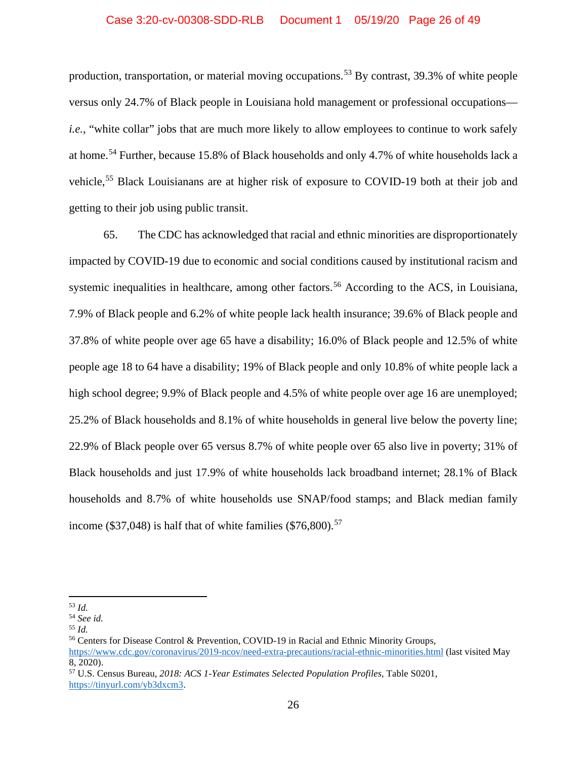### Case 3:20-cv-00308-SDD-RLB Document 1 05/19/20 Page 26 of 49

production, transportation, or material moving occupations.<sup>[53](#page-25-0)</sup> By contrast, 39.3% of white people versus only 24.7% of Black people in Louisiana hold management or professional occupations *i.e.*, "white collar" jobs that are much more likely to allow employees to continue to work safely at home.<sup>[54](#page-25-1)</sup> Further, because 15.8% of Black households and only 4.7% of white households lack a vehicle,<sup>[55](#page-25-2)</sup> Black Louisianans are at higher risk of exposure to COVID-19 both at their job and getting to their job using public transit.

65. The CDC has acknowledged that racial and ethnic minorities are disproportionately impacted by COVID-19 due to economic and social conditions caused by institutional racism and systemic inequalities in healthcare, among other factors.<sup>[56](#page-25-3)</sup> According to the ACS, in Louisiana, 7.9% of Black people and 6.2% of white people lack health insurance; 39.6% of Black people and 37.8% of white people over age 65 have a disability; 16.0% of Black people and 12.5% of white people age 18 to 64 have a disability; 19% of Black people and only 10.8% of white people lack a high school degree; 9.9% of Black people and 4.5% of white people over age 16 are unemployed; 25.2% of Black households and 8.1% of white households in general live below the poverty line; 22.9% of Black people over 65 versus 8.7% of white people over 65 also live in poverty; 31% of Black households and just 17.9% of white households lack broadband internet; 28.1% of Black households and 8.7% of white households use SNAP/food stamps; and Black median family income (\$37,048) is half that of white families (\$76,800).<sup>[57](#page-25-4)</sup>

<span id="page-25-0"></span><sup>53</sup> *Id.*

<span id="page-25-1"></span><sup>54</sup> *See id.*

<span id="page-25-2"></span><sup>55</sup> *Id.*

<span id="page-25-3"></span><sup>56</sup> Centers for Disease Control & Prevention, COVID-19 in Racial and Ethnic Minority Groups, <https://www.cdc.gov/coronavirus/2019-ncov/need-extra-precautions/racial-ethnic-minorities.html> (last visited May 8, 2020).

<span id="page-25-4"></span><sup>57</sup> U.S. Census Bureau, *2018: ACS 1-Year Estimates Selected Population Profiles*, Table S0201, [https://tinyurl.com/yb3dxcm3.](https://tinyurl.com/yb3dxcm3)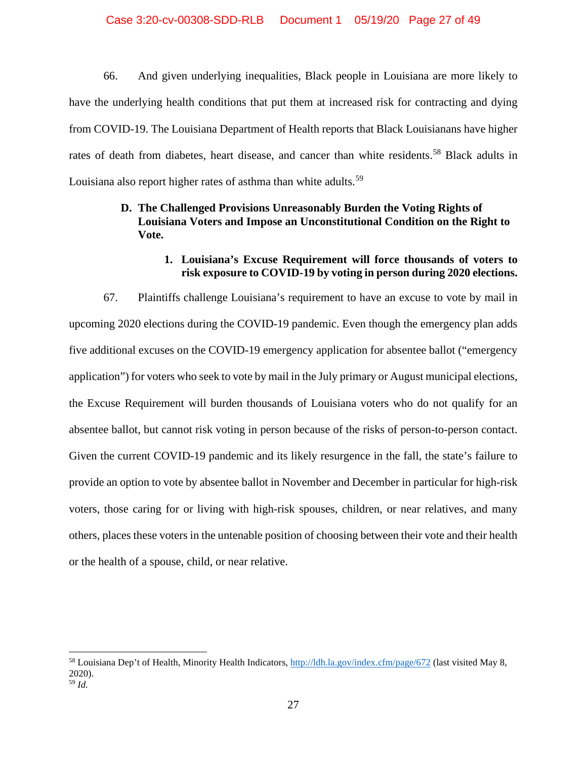### Case 3:20-cv-00308-SDD-RLB Document 1 05/19/20 Page 27 of 49

66. And given underlying inequalities, Black people in Louisiana are more likely to have the underlying health conditions that put them at increased risk for contracting and dying from COVID-19. The Louisiana Department of Health reports that Black Louisianans have higher rates of death from diabetes, heart disease, and cancer than white residents.<sup>[58](#page-26-0)</sup> Black adults in Louisiana also report higher rates of asthma than white adults.<sup>[59](#page-26-1)</sup>

# **D. The Challenged Provisions Unreasonably Burden the Voting Rights of Louisiana Voters and Impose an Unconstitutional Condition on the Right to Vote.**

# **1. Louisiana's Excuse Requirement will force thousands of voters to risk exposure to COVID-19 by voting in person during 2020 elections.**

67. Plaintiffs challenge Louisiana's requirement to have an excuse to vote by mail in upcoming 2020 elections during the COVID-19 pandemic. Even though the emergency plan adds five additional excuses on the COVID-19 emergency application for absentee ballot ("emergency application") for voters who seek to vote by mail in the July primary or August municipal elections, the Excuse Requirement will burden thousands of Louisiana voters who do not qualify for an absentee ballot, but cannot risk voting in person because of the risks of person-to-person contact. Given the current COVID-19 pandemic and its likely resurgence in the fall, the state's failure to provide an option to vote by absentee ballot in November and December in particular for high-risk voters, those caring for or living with high-risk spouses, children, or near relatives, and many others, places these voters in the untenable position of choosing between their vote and their health or the health of a spouse, child, or near relative.

<span id="page-26-1"></span><span id="page-26-0"></span><sup>&</sup>lt;sup>58</sup> Louisiana Dep't of Health, Minority Health Indicators,<http://ldh.la.gov/index.cfm/page/672> (last visited May 8, 2020). <sup>59</sup> *Id.*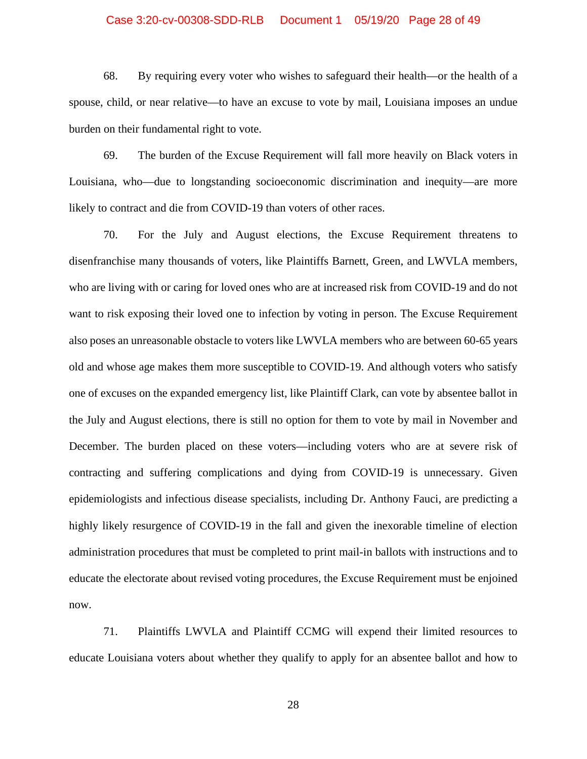#### Case 3:20-cv-00308-SDD-RLB Document 1 05/19/20 Page 28 of 49

68. By requiring every voter who wishes to safeguard their health—or the health of a spouse, child, or near relative—to have an excuse to vote by mail, Louisiana imposes an undue burden on their fundamental right to vote.

69. The burden of the Excuse Requirement will fall more heavily on Black voters in Louisiana, who—due to longstanding socioeconomic discrimination and inequity—are more likely to contract and die from COVID-19 than voters of other races.

70. For the July and August elections, the Excuse Requirement threatens to disenfranchise many thousands of voters, like Plaintiffs Barnett, Green, and LWVLA members, who are living with or caring for loved ones who are at increased risk from COVID-19 and do not want to risk exposing their loved one to infection by voting in person. The Excuse Requirement also poses an unreasonable obstacle to voters like LWVLA members who are between 60-65 years old and whose age makes them more susceptible to COVID-19. And although voters who satisfy one of excuses on the expanded emergency list, like Plaintiff Clark, can vote by absentee ballot in the July and August elections, there is still no option for them to vote by mail in November and December. The burden placed on these voters—including voters who are at severe risk of contracting and suffering complications and dying from COVID-19 is unnecessary. Given epidemiologists and infectious disease specialists, including Dr. Anthony Fauci, are predicting a highly likely resurgence of COVID-19 in the fall and given the inexorable timeline of election administration procedures that must be completed to print mail-in ballots with instructions and to educate the electorate about revised voting procedures, the Excuse Requirement must be enjoined now.

71. Plaintiffs LWVLA and Plaintiff CCMG will expend their limited resources to educate Louisiana voters about whether they qualify to apply for an absentee ballot and how to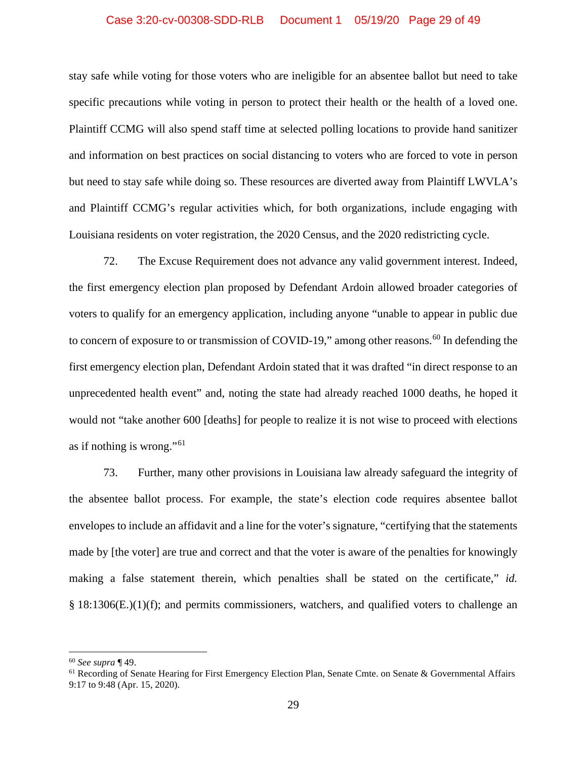#### Case 3:20-cv-00308-SDD-RLB Document 1 05/19/20 Page 29 of 49

stay safe while voting for those voters who are ineligible for an absentee ballot but need to take specific precautions while voting in person to protect their health or the health of a loved one. Plaintiff CCMG will also spend staff time at selected polling locations to provide hand sanitizer and information on best practices on social distancing to voters who are forced to vote in person but need to stay safe while doing so. These resources are diverted away from Plaintiff LWVLA's and Plaintiff CCMG's regular activities which, for both organizations, include engaging with Louisiana residents on voter registration, the 2020 Census, and the 2020 redistricting cycle.

72. The Excuse Requirement does not advance any valid government interest. Indeed, the first emergency election plan proposed by Defendant Ardoin allowed broader categories of voters to qualify for an emergency application, including anyone "unable to appear in public due to concern of exposure to or transmission of COVID-19," among other reasons.<sup>[60](#page-28-0)</sup> In defending the first emergency election plan, Defendant Ardoin stated that it was drafted "in direct response to an unprecedented health event" and, noting the state had already reached 1000 deaths, he hoped it would not "take another 600 [deaths] for people to realize it is not wise to proceed with elections as if nothing is wrong." $61$ 

73. Further, many other provisions in Louisiana law already safeguard the integrity of the absentee ballot process. For example, the state's election code requires absentee ballot envelopes to include an affidavit and a line for the voter's signature, "certifying that the statements made by [the voter] are true and correct and that the voter is aware of the penalties for knowingly making a false statement therein, which penalties shall be stated on the certificate," *id.*   $§$  18:1306(E.)(1)(f); and permits commissioners, watchers, and qualified voters to challenge an

<span id="page-28-0"></span><sup>60</sup> *See supra* ¶ 49.

<span id="page-28-1"></span><sup>&</sup>lt;sup>61</sup> Recording of Senate Hearing for First Emergency Election Plan, Senate Cmte. on Senate & Governmental Affairs 9:17 to 9:48 (Apr. 15, 2020).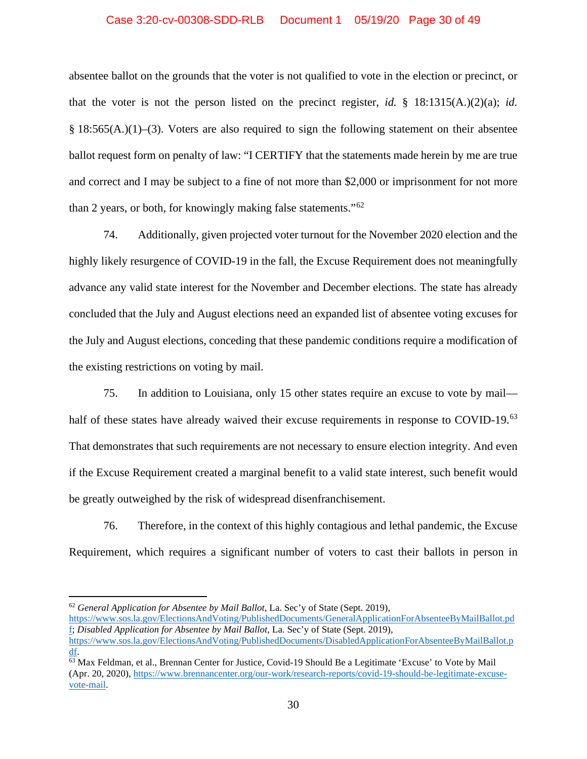### Case 3:20-cv-00308-SDD-RLB Document 1 05/19/20 Page 30 of 49

absentee ballot on the grounds that the voter is not qualified to vote in the election or precinct, or that the voter is not the person listed on the precinct register, *id.* § 18:1315(A.)(2)(a); *id.*  § 18:565(A.)(1)–(3). Voters are also required to sign the following statement on their absentee ballot request form on penalty of law: "I CERTIFY that the statements made herein by me are true and correct and I may be subject to a fine of not more than \$2,000 or imprisonment for not more than 2 years, or both, for knowingly making false statements."[62](#page-29-0)

74. Additionally, given projected voter turnout for the November 2020 election and the highly likely resurgence of COVID-19 in the fall, the Excuse Requirement does not meaningfully advance any valid state interest for the November and December elections. The state has already concluded that the July and August elections need an expanded list of absentee voting excuses for the July and August elections, conceding that these pandemic conditions require a modification of the existing restrictions on voting by mail.

75. In addition to Louisiana, only 15 other states require an excuse to vote by mail— half of these states have already waived their excuse requirements in response to COVID-19.<sup>[63](#page-29-1)</sup> That demonstrates that such requirements are not necessary to ensure election integrity. And even if the Excuse Requirement created a marginal benefit to a valid state interest, such benefit would be greatly outweighed by the risk of widespread disenfranchisement.

76. Therefore, in the context of this highly contagious and lethal pandemic, the Excuse Requirement, which requires a significant number of voters to cast their ballots in person in

<span id="page-29-0"></span><sup>62</sup> *General Application for Absentee by Mail Ballot*, La. Sec'y of State (Sept. 2019),

[https://www.sos.la.gov/ElectionsAndVoting/PublishedDocuments/GeneralApplicationForAbsenteeByMailBallot.pd](https://www.sos.la.gov/ElectionsAndVoting/PublishedDocuments/GeneralApplicationForAbsenteeByMailBallot.pdf) [f;](https://www.sos.la.gov/ElectionsAndVoting/PublishedDocuments/GeneralApplicationForAbsenteeByMailBallot.pdf) *Disabled Application for Absentee by Mail Ballot*, La. Sec'y of State (Sept. 2019), [https://www.sos.la.gov/ElectionsAndVoting/PublishedDocuments/DisabledApplicationForAbsenteeByMailBallot.p](https://www.sos.la.gov/ElectionsAndVoting/PublishedDocuments/DisabledApplicationForAbsenteeByMailBallot.pdf) [df.](https://www.sos.la.gov/ElectionsAndVoting/PublishedDocuments/DisabledApplicationForAbsenteeByMailBallot.pdf)

<span id="page-29-1"></span><sup>63</sup> Max Feldman, et al., Brennan Center for Justice, Covid-19 Should Be a Legitimate 'Excuse' to Vote by Mail (Apr. 20, 2020), [https://www.brennancenter.org/our-work/research-reports/covid-19-should-be-legitimate-excuse](https://www.brennancenter.org/our-work/research-reports/covid-19-should-be-legitimate-excuse-vote-mail)[vote-mail.](https://www.brennancenter.org/our-work/research-reports/covid-19-should-be-legitimate-excuse-vote-mail)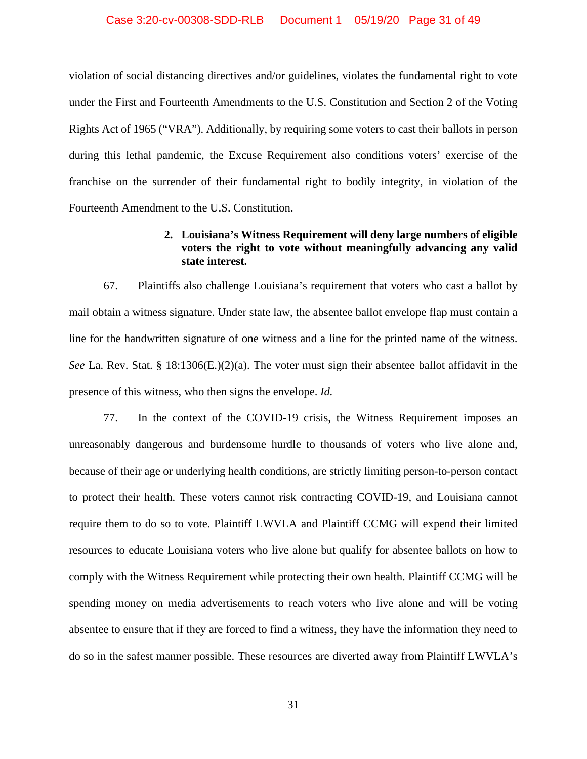### Case 3:20-cv-00308-SDD-RLB Document 1 05/19/20 Page 31 of 49

violation of social distancing directives and/or guidelines, violates the fundamental right to vote under the First and Fourteenth Amendments to the U.S. Constitution and Section 2 of the Voting Rights Act of 1965 ("VRA"). Additionally, by requiring some voters to cast their ballots in person during this lethal pandemic, the Excuse Requirement also conditions voters' exercise of the franchise on the surrender of their fundamental right to bodily integrity, in violation of the Fourteenth Amendment to the U.S. Constitution.

# **2. Louisiana's Witness Requirement will deny large numbers of eligible voters the right to vote without meaningfully advancing any valid state interest.**

67. Plaintiffs also challenge Louisiana's requirement that voters who cast a ballot by mail obtain a witness signature. Under state law, the absentee ballot envelope flap must contain a line for the handwritten signature of one witness and a line for the printed name of the witness. *See* La. Rev. Stat. § 18:1306(E.)(2)(a). The voter must sign their absentee ballot affidavit in the presence of this witness, who then signs the envelope. *Id.*

77. In the context of the COVID-19 crisis, the Witness Requirement imposes an unreasonably dangerous and burdensome hurdle to thousands of voters who live alone and, because of their age or underlying health conditions, are strictly limiting person-to-person contact to protect their health. These voters cannot risk contracting COVID-19, and Louisiana cannot require them to do so to vote. Plaintiff LWVLA and Plaintiff CCMG will expend their limited resources to educate Louisiana voters who live alone but qualify for absentee ballots on how to comply with the Witness Requirement while protecting their own health. Plaintiff CCMG will be spending money on media advertisements to reach voters who live alone and will be voting absentee to ensure that if they are forced to find a witness, they have the information they need to do so in the safest manner possible. These resources are diverted away from Plaintiff LWVLA's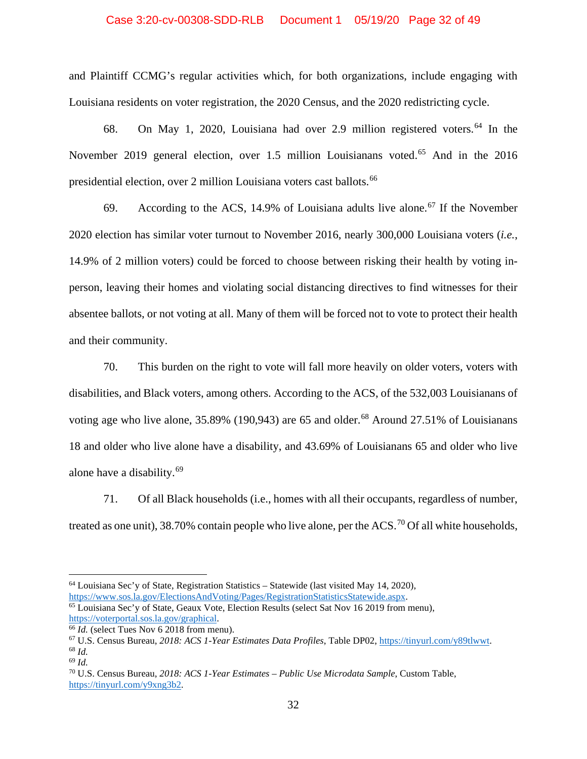### Case 3:20-cv-00308-SDD-RLB Document 1 05/19/20 Page 32 of 49

and Plaintiff CCMG's regular activities which, for both organizations, include engaging with Louisiana residents on voter registration, the 2020 Census, and the 2020 redistricting cycle.

68. On May 1, 2020, Louisiana had over 2.9 million registered voters. [64](#page-31-0) In the November 2019 general election, over 1.5 million Louisianans voted.<sup>[65](#page-31-1)</sup> And in the 2016 presidential election, over 2 million Louisiana voters cast ballots.<sup>[66](#page-31-2)</sup>

69. According to the ACS, 14.9% of Louisiana adults live alone.<sup>[67](#page-31-3)</sup> If the November 2020 election has similar voter turnout to November 2016, nearly 300,000 Louisiana voters (*i.e.*, 14.9% of 2 million voters) could be forced to choose between risking their health by voting inperson, leaving their homes and violating social distancing directives to find witnesses for their absentee ballots, or not voting at all. Many of them will be forced not to vote to protect their health and their community.

70. This burden on the right to vote will fall more heavily on older voters, voters with disabilities, and Black voters, among others. According to the ACS, of the 532,003 Louisianans of voting age who live alone,  $35.89\%$  (190,943) are 65 and older.<sup>[68](#page-31-4)</sup> Around 27.51% of Louisianans 18 and older who live alone have a disability, and 43.69% of Louisianans 65 and older who live alone have a disability.[69](#page-31-5)

71. Of all Black households (i.e., homes with all their occupants, regardless of number, treated as one unit), 38.[70](#page-31-6)% contain people who live alone, per the ACS.<sup>70</sup> Of all white households,

<span id="page-31-0"></span> $64$  Louisiana Sec'y of State, Registration Statistics – Statewide (last visited May 14, 2020), [https://www.sos.la.gov/ElectionsAndVoting/Pages/RegistrationStatisticsStatewide.aspx.](https://www.sos.la.gov/ElectionsAndVoting/Pages/RegistrationStatisticsStatewide.aspx)

<span id="page-31-1"></span><sup>65</sup> Louisiana Sec'y of State, Geaux Vote, Election Results (select Sat Nov 16 2019 from menu), [https://voterportal.sos.la.gov/graphical.](https://voterportal.sos.la.gov/graphical)<br><sup>66</sup> Id. (select Tues Nov 6 2018 from menu).

<span id="page-31-2"></span>

<span id="page-31-4"></span><span id="page-31-3"></span><sup>&</sup>lt;sup>67</sup> U.S. Census Bureau, 2018: ACS 1-Year Estimates Data Profiles, Table DP02, [https://tinyurl.com/y89tlwwt.](https://tinyurl.com/y89tlwwt) <sup>68</sup> *Id.* <sup>69</sup> *Id.*

<span id="page-31-6"></span><span id="page-31-5"></span><sup>70</sup> U.S. Census Bureau, *2018: ACS 1-Year Estimates – Public Use Microdata Sample*, Custom Table, [https://tinyurl.com/y9xng3b2.](https://tinyurl.com/y9xng3b2)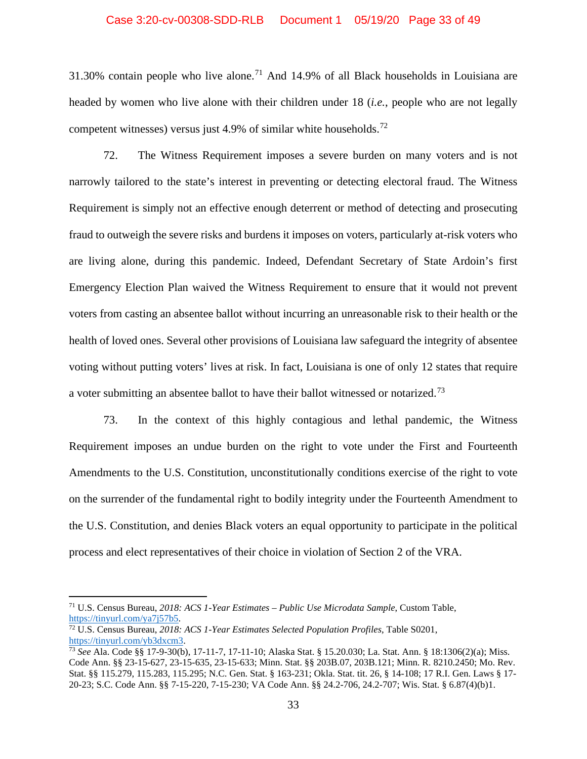### Case 3:20-cv-00308-SDD-RLB Document 1 05/19/20 Page 33 of 49

31.30% contain people who live alone.<sup>[71](#page-32-0)</sup> And 14.9% of all Black households in Louisiana are headed by women who live alone with their children under 18 (*i.e.*, people who are not legally competent witnesses) versus just 4.9% of similar white households.<sup>[72](#page-32-1)</sup>

72. The Witness Requirement imposes a severe burden on many voters and is not narrowly tailored to the state's interest in preventing or detecting electoral fraud. The Witness Requirement is simply not an effective enough deterrent or method of detecting and prosecuting fraud to outweigh the severe risks and burdens it imposes on voters, particularly at-risk voters who are living alone, during this pandemic. Indeed, Defendant Secretary of State Ardoin's first Emergency Election Plan waived the Witness Requirement to ensure that it would not prevent voters from casting an absentee ballot without incurring an unreasonable risk to their health or the health of loved ones. Several other provisions of Louisiana law safeguard the integrity of absentee voting without putting voters' lives at risk. In fact, Louisiana is one of only 12 states that require a voter submitting an absentee ballot to have their ballot witnessed or notarized.[73](#page-32-2)

73. In the context of this highly contagious and lethal pandemic, the Witness Requirement imposes an undue burden on the right to vote under the First and Fourteenth Amendments to the U.S. Constitution, unconstitutionally conditions exercise of the right to vote on the surrender of the fundamental right to bodily integrity under the Fourteenth Amendment to the U.S. Constitution, and denies Black voters an equal opportunity to participate in the political process and elect representatives of their choice in violation of Section 2 of the VRA.

<span id="page-32-0"></span><sup>71</sup> U.S. Census Bureau, *2018: ACS 1-Year Estimates – Public Use Microdata Sample*, Custom Table, [https://tinyurl.com/ya7j57b5.](https://tinyurl.com/ya7j57b5)

<span id="page-32-1"></span><sup>72</sup> U.S. Census Bureau, *2018: ACS 1-Year Estimates Selected Population Profiles*, Table S0201, [https://tinyurl.com/yb3dxcm3.](https://tinyurl.com/yb3dxcm3)

<span id="page-32-2"></span><sup>73</sup> *See* Ala. Code §§ 17-9-30(b), 17-11-7, 17-11-10; Alaska Stat. § 15.20.030; La. Stat. Ann. § 18:1306(2)(a); Miss. Code Ann. §§ 23-15-627, 23-15-635, 23-15-633; Minn. Stat. §§ 203B.07, 203B.121; Minn. R. 8210.2450; Mo. Rev. Stat. §§ 115.279, 115.283, 115.295; N.C. Gen. Stat. § 163-231; Okla. Stat. tit. 26, § 14-108; 17 R.I. Gen. Laws § 17- 20-23; S.C. Code Ann. §§ 7-15-220, 7-15-230; VA Code Ann. §§ 24.2-706, 24.2-707; Wis. Stat. § 6.87(4)(b)1.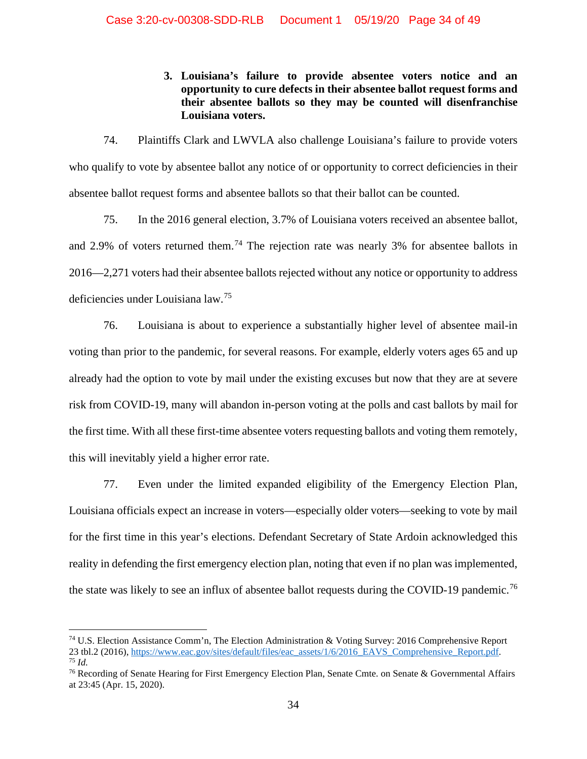**3. Louisiana's failure to provide absentee voters notice and an opportunity to cure defects in their absentee ballot request forms and their absentee ballots so they may be counted will disenfranchise Louisiana voters.**

74. Plaintiffs Clark and LWVLA also challenge Louisiana's failure to provide voters who qualify to vote by absentee ballot any notice of or opportunity to correct deficiencies in their absentee ballot request forms and absentee ballots so that their ballot can be counted.

75. In the 2016 general election, 3.7% of Louisiana voters received an absentee ballot, and 2.9% of voters returned them.<sup>[74](#page-33-0)</sup> The rejection rate was nearly 3% for absentee ballots in 2016—2,271 voters had their absentee ballots rejected without any notice or opportunity to address deficiencies under Louisiana law.[75](#page-33-1)

76. Louisiana is about to experience a substantially higher level of absentee mail-in voting than prior to the pandemic, for several reasons. For example, elderly voters ages 65 and up already had the option to vote by mail under the existing excuses but now that they are at severe risk from COVID-19, many will abandon in-person voting at the polls and cast ballots by mail for the first time. With all these first-time absentee voters requesting ballots and voting them remotely, this will inevitably yield a higher error rate.

77. Even under the limited expanded eligibility of the Emergency Election Plan, Louisiana officials expect an increase in voters—especially older voters—seeking to vote by mail for the first time in this year's elections. Defendant Secretary of State Ardoin acknowledged this reality in defending the first emergency election plan, noting that even if no plan was implemented, the state was likely to see an influx of absentee ballot requests during the COVID-19 pandemic.<sup>[76](#page-33-2)</sup>

<span id="page-33-0"></span><sup>74</sup> U.S. Election Assistance Comm'n, The Election Administration & Voting Survey: 2016 Comprehensive Report <sup>23</sup> tbl.2 (2016)[, https://www.eac.gov/sites/default/files/eac\\_assets/1/6/2016\\_EAVS\\_Comprehensive\\_Report.pdf.](https://www.eac.gov/sites/default/files/eac_assets/1/6/2016_EAVS_Comprehensive_Report.pdf) 75 *Id.*

<span id="page-33-2"></span><span id="page-33-1"></span><sup>&</sup>lt;sup>76</sup> Recording of Senate Hearing for First Emergency Election Plan, Senate Cmte. on Senate & Governmental Affairs at 23:45 (Apr. 15, 2020).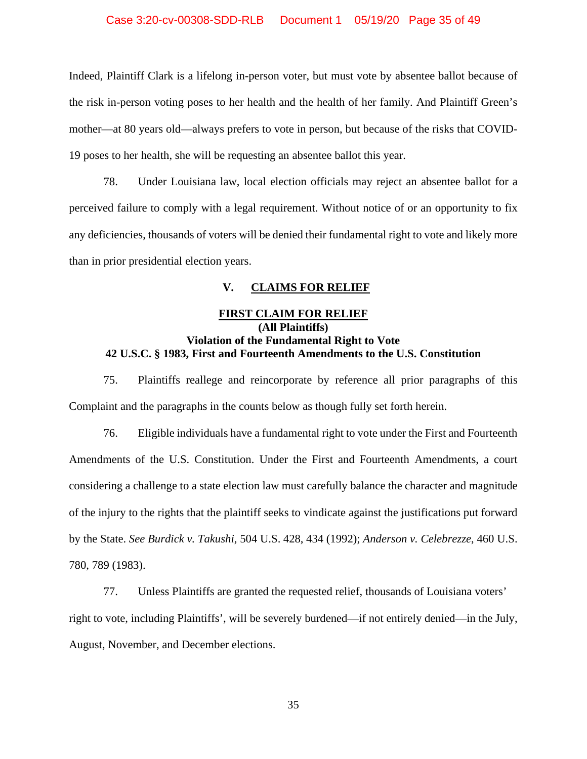### Case 3:20-cv-00308-SDD-RLB Document 1 05/19/20 Page 35 of 49

Indeed, Plaintiff Clark is a lifelong in-person voter, but must vote by absentee ballot because of the risk in-person voting poses to her health and the health of her family. And Plaintiff Green's mother—at 80 years old—always prefers to vote in person, but because of the risks that COVID-19 poses to her health, she will be requesting an absentee ballot this year.

78. Under Louisiana law, local election officials may reject an absentee ballot for a perceived failure to comply with a legal requirement. Without notice of or an opportunity to fix any deficiencies, thousands of voters will be denied their fundamental right to vote and likely more than in prior presidential election years.

### **V. CLAIMS FOR RELIEF**

# **FIRST CLAIM FOR RELIEF (All Plaintiffs) Violation of the Fundamental Right to Vote 42 U.S.C. § 1983, First and Fourteenth Amendments to the U.S. Constitution**

75. Plaintiffs reallege and reincorporate by reference all prior paragraphs of this Complaint and the paragraphs in the counts below as though fully set forth herein.

76. Eligible individuals have a fundamental right to vote under the First and Fourteenth Amendments of the U.S. Constitution. Under the First and Fourteenth Amendments, a court considering a challenge to a state election law must carefully balance the character and magnitude of the injury to the rights that the plaintiff seeks to vindicate against the justifications put forward by the State. *See Burdick v. Takushi*, 504 U.S. 428, 434 (1992); *Anderson v. Celebrezze*, 460 U.S. 780, 789 (1983).

77. Unless Plaintiffs are granted the requested relief, thousands of Louisiana voters' right to vote, including Plaintiffs', will be severely burdened—if not entirely denied—in the July, August, November, and December elections.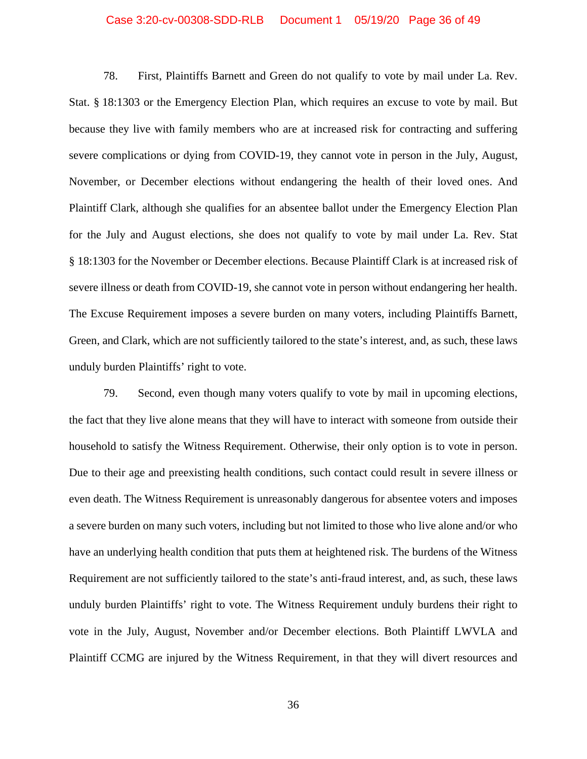#### Case 3:20-cv-00308-SDD-RLB Document 1 05/19/20 Page 36 of 49

78. First, Plaintiffs Barnett and Green do not qualify to vote by mail under La. Rev. Stat. § 18:1303 or the Emergency Election Plan, which requires an excuse to vote by mail. But because they live with family members who are at increased risk for contracting and suffering severe complications or dying from COVID-19, they cannot vote in person in the July, August, November, or December elections without endangering the health of their loved ones. And Plaintiff Clark, although she qualifies for an absentee ballot under the Emergency Election Plan for the July and August elections, she does not qualify to vote by mail under La. Rev. Stat § 18:1303 for the November or December elections. Because Plaintiff Clark is at increased risk of severe illness or death from COVID-19, she cannot vote in person without endangering her health. The Excuse Requirement imposes a severe burden on many voters, including Plaintiffs Barnett, Green, and Clark, which are not sufficiently tailored to the state's interest, and, as such, these laws unduly burden Plaintiffs' right to vote.

79. Second, even though many voters qualify to vote by mail in upcoming elections, the fact that they live alone means that they will have to interact with someone from outside their household to satisfy the Witness Requirement. Otherwise, their only option is to vote in person. Due to their age and preexisting health conditions, such contact could result in severe illness or even death. The Witness Requirement is unreasonably dangerous for absentee voters and imposes a severe burden on many such voters, including but not limited to those who live alone and/or who have an underlying health condition that puts them at heightened risk. The burdens of the Witness Requirement are not sufficiently tailored to the state's anti-fraud interest, and, as such, these laws unduly burden Plaintiffs' right to vote. The Witness Requirement unduly burdens their right to vote in the July, August, November and/or December elections. Both Plaintiff LWVLA and Plaintiff CCMG are injured by the Witness Requirement, in that they will divert resources and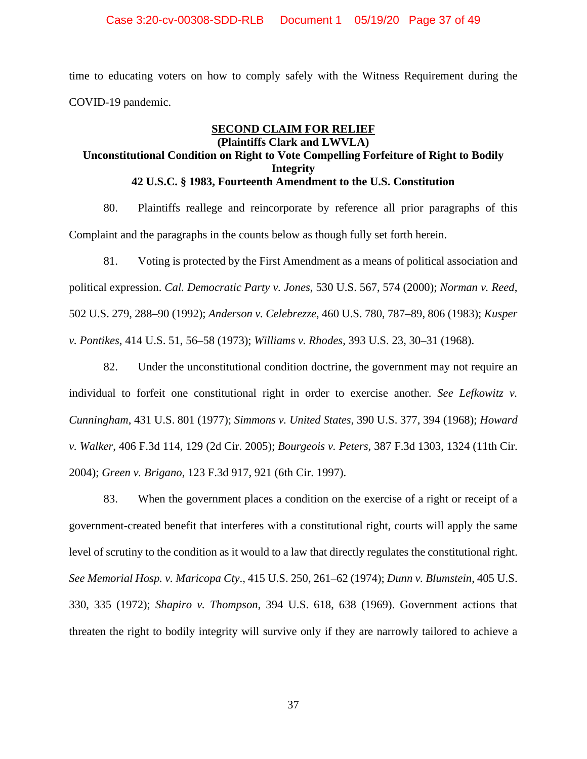### Case 3:20-cv-00308-SDD-RLB Document 1 05/19/20 Page 37 of 49

time to educating voters on how to comply safely with the Witness Requirement during the COVID-19 pandemic.

# **SECOND CLAIM FOR RELIEF (Plaintiffs Clark and LWVLA) Unconstitutional Condition on Right to Vote Compelling Forfeiture of Right to Bodily Integrity 42 U.S.C. § 1983, Fourteenth Amendment to the U.S. Constitution**

80. Plaintiffs reallege and reincorporate by reference all prior paragraphs of this Complaint and the paragraphs in the counts below as though fully set forth herein.

81. Voting is protected by the First Amendment as a means of political association and political expression. *Cal. Democratic Party v. Jones*, 530 U.S. 567, 574 (2000); *Norman v. Reed*, 502 U.S. 279, 288–90 (1992); *Anderson v. Celebrezze*, 460 U.S. 780, 787–89, 806 (1983); *Kusper v. Pontikes*, 414 U.S. 51, 56–58 (1973); *Williams v. Rhodes*, 393 U.S. 23, 30–31 (1968).

82. Under the unconstitutional condition doctrine, the government may not require an individual to forfeit one constitutional right in order to exercise another. *See Lefkowitz v. Cunningham*, 431 U.S. 801 (1977); *Simmons v. United States*, 390 U.S. 377, 394 (1968); *Howard v. Walker*, 406 F.3d 114, 129 (2d Cir. 2005); *Bourgeois v. Peters*, 387 F.3d 1303, 1324 (11th Cir. 2004); *Green v. Brigano*, 123 F.3d 917, 921 (6th Cir. 1997).

83. When the government places a condition on the exercise of a right or receipt of a government-created benefit that interferes with a constitutional right, courts will apply the same level of scrutiny to the condition as it would to a law that directly regulates the constitutional right. *See Memorial Hosp. v. Maricopa Cty*., 415 U.S. 250, 261–62 (1974); *Dunn v. Blumstein*, 405 U.S. 330, 335 (1972); *Shapiro v. Thompson*, 394 U.S. 618, 638 (1969). Government actions that threaten the right to bodily integrity will survive only if they are narrowly tailored to achieve a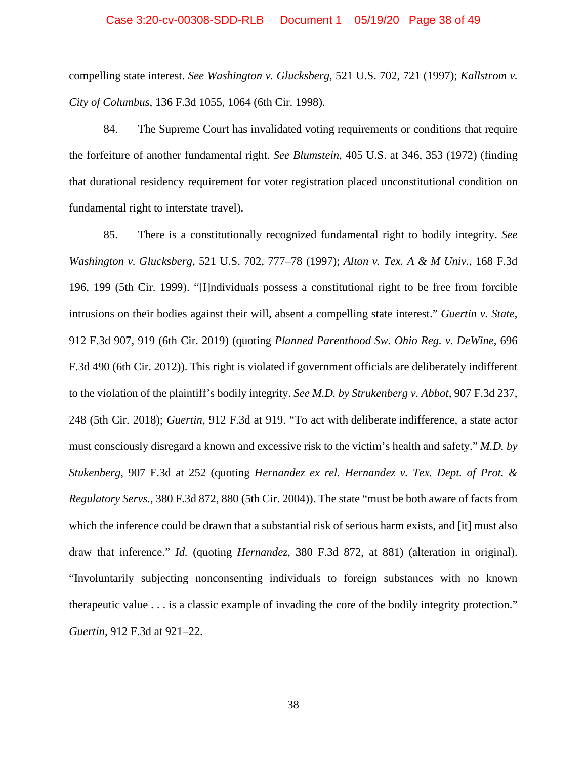### Case 3:20-cv-00308-SDD-RLB Document 1 05/19/20 Page 38 of 49

compelling state interest. *See Washington v. Glucksberg*, 521 U.S. 702, 721 (1997); *Kallstrom v. City of Columbus*, 136 F.3d 1055, 1064 (6th Cir. 1998).

84. The Supreme Court has invalidated voting requirements or conditions that require the forfeiture of another fundamental right. *See Blumstein*, 405 U.S. at 346, 353 (1972) (finding that durational residency requirement for voter registration placed unconstitutional condition on fundamental right to interstate travel).

85. There is a constitutionally recognized fundamental right to bodily integrity. *See Washington v. Glucksberg*, 521 U.S. 702, 777–78 (1997); *Alton v. Tex. A & M Univ.*, 168 F.3d 196, 199 (5th Cir. 1999). "[I]ndividuals possess a constitutional right to be free from forcible intrusions on their bodies against their will, absent a compelling state interest." *Guertin v. State*, 912 F.3d 907, 919 (6th Cir. 2019) (quoting *Planned Parenthood Sw. Ohio Reg. v. DeWine*, 696 F.3d 490 (6th Cir. 2012)). This right is violated if government officials are deliberately indifferent to the violation of the plaintiff's bodily integrity. *See M.D. by Strukenberg v. Abbot*, 907 F.3d 237, 248 (5th Cir. 2018); *Guertin*, 912 F.3d at 919. "To act with deliberate indifference, a state actor must consciously disregard a known and excessive risk to the victim's health and safety." *M.D. by Stukenberg*, 907 F.3d at 252 (quoting *Hernandez ex rel. Hernandez v. Tex. Dept. of Prot. & Regulatory Servs.*, 380 F.3d 872, 880 (5th Cir. 2004)). The state "must be both aware of facts from which the inference could be drawn that a substantial risk of serious harm exists, and [it] must also draw that inference." *Id.* (quoting *Hernandez*, 380 F.3d 872, at 881) (alteration in original). "Involuntarily subjecting nonconsenting individuals to foreign substances with no known therapeutic value . . . is a classic example of invading the core of the bodily integrity protection." *Guertin*, 912 F.3d at 921–22.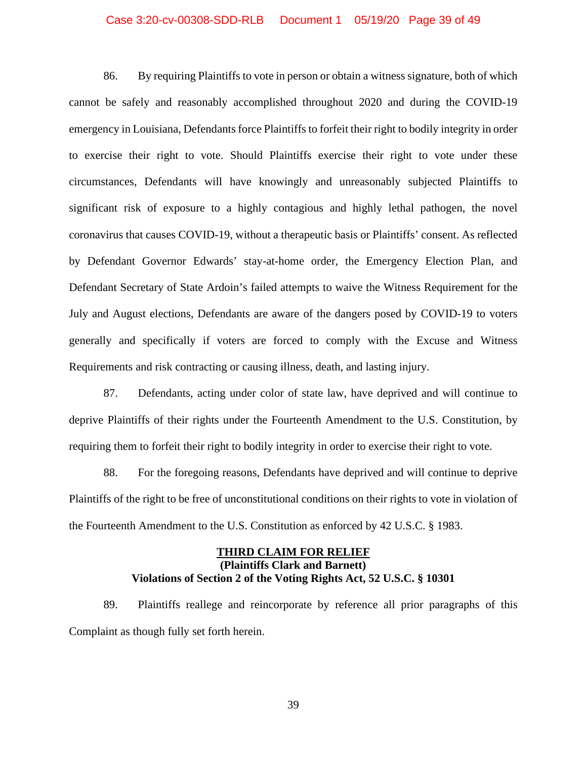### Case 3:20-cv-00308-SDD-RLB Document 1 05/19/20 Page 39 of 49

86. By requiring Plaintiffs to vote in person or obtain a witness signature, both of which cannot be safely and reasonably accomplished throughout 2020 and during the COVID-19 emergency in Louisiana, Defendants force Plaintiffs to forfeit their right to bodily integrity in order to exercise their right to vote. Should Plaintiffs exercise their right to vote under these circumstances, Defendants will have knowingly and unreasonably subjected Plaintiffs to significant risk of exposure to a highly contagious and highly lethal pathogen, the novel coronavirus that causes COVID-19, without a therapeutic basis or Plaintiffs' consent. As reflected by Defendant Governor Edwards' stay-at-home order, the Emergency Election Plan, and Defendant Secretary of State Ardoin's failed attempts to waive the Witness Requirement for the July and August elections, Defendants are aware of the dangers posed by COVID-19 to voters generally and specifically if voters are forced to comply with the Excuse and Witness Requirements and risk contracting or causing illness, death, and lasting injury.

87. Defendants, acting under color of state law, have deprived and will continue to deprive Plaintiffs of their rights under the Fourteenth Amendment to the U.S. Constitution, by requiring them to forfeit their right to bodily integrity in order to exercise their right to vote.

88. For the foregoing reasons, Defendants have deprived and will continue to deprive Plaintiffs of the right to be free of unconstitutional conditions on their rights to vote in violation of the Fourteenth Amendment to the U.S. Constitution as enforced by 42 U.S.C. § 1983.

# **THIRD CLAIM FOR RELIEF (Plaintiffs Clark and Barnett) Violations of Section 2 of the Voting Rights Act, 52 U.S.C. § 10301**

89. Plaintiffs reallege and reincorporate by reference all prior paragraphs of this Complaint as though fully set forth herein.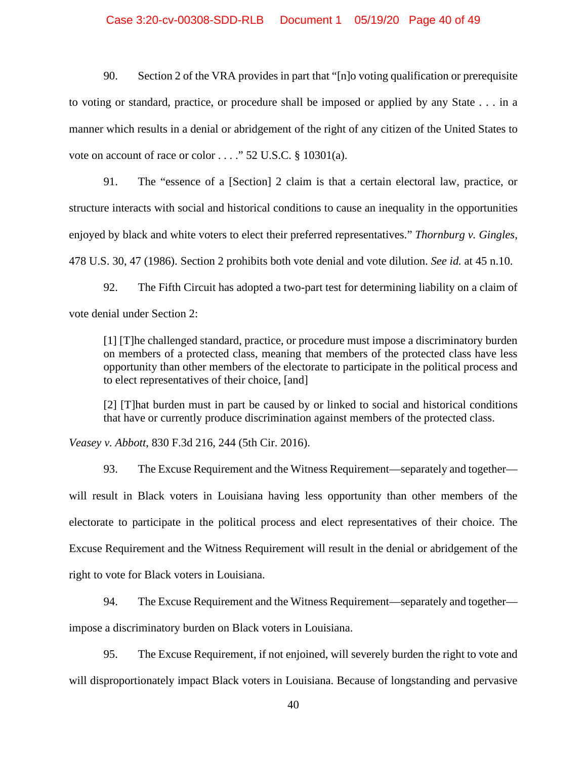### Case 3:20-cv-00308-SDD-RLB Document 1 05/19/20 Page 40 of 49

90. Section 2 of the VRA provides in part that "[n]o voting qualification or prerequisite to voting or standard, practice, or procedure shall be imposed or applied by any State . . . in a manner which results in a denial or abridgement of the right of any citizen of the United States to vote on account of race or color . . . ." 52 U.S.C. § 10301(a).

91. The "essence of a [Section] 2 claim is that a certain electoral law, practice, or structure interacts with social and historical conditions to cause an inequality in the opportunities enjoyed by black and white voters to elect their preferred representatives." *Thornburg v. Gingles*, 478 U.S. 30, 47 (1986). Section 2 prohibits both vote denial and vote dilution. *See id.* at 45 n.10.

92. The Fifth Circuit has adopted a two-part test for determining liability on a claim of vote denial under Section 2:

[1] [T]he challenged standard, practice, or procedure must impose a discriminatory burden on members of a protected class, meaning that members of the protected class have less opportunity than other members of the electorate to participate in the political process and to elect representatives of their choice, [and]

[2] [T]hat burden must in part be caused by or linked to social and historical conditions that have or currently produce discrimination against members of the protected class.

*Veasey v. Abbott*, 830 F.3d 216, 244 (5th Cir. 2016).

93. The Excuse Requirement and the Witness Requirement—separately and together will result in Black voters in Louisiana having less opportunity than other members of the electorate to participate in the political process and elect representatives of their choice. The Excuse Requirement and the Witness Requirement will result in the denial or abridgement of the right to vote for Black voters in Louisiana.

94. The Excuse Requirement and the Witness Requirement—separately and together impose a discriminatory burden on Black voters in Louisiana.

95. The Excuse Requirement, if not enjoined, will severely burden the right to vote and will disproportionately impact Black voters in Louisiana. Because of longstanding and pervasive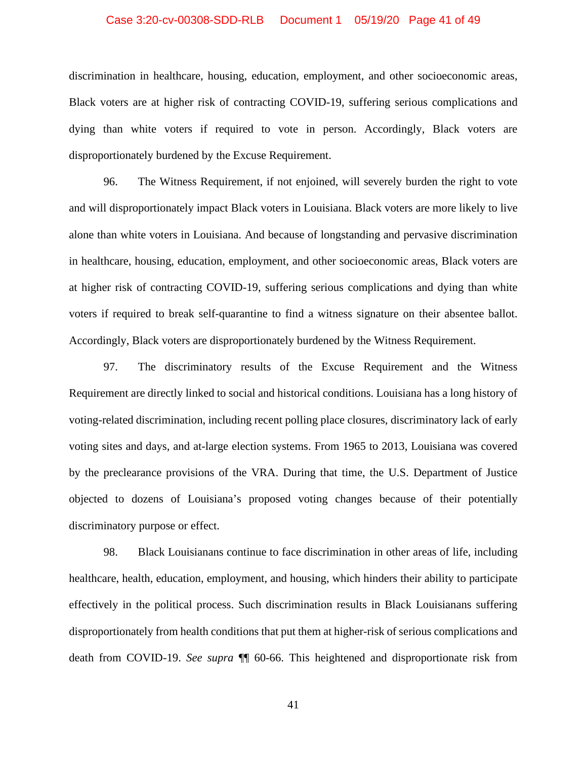### Case 3:20-cv-00308-SDD-RLB Document 1 05/19/20 Page 41 of 49

discrimination in healthcare, housing, education, employment, and other socioeconomic areas, Black voters are at higher risk of contracting COVID-19, suffering serious complications and dying than white voters if required to vote in person. Accordingly, Black voters are disproportionately burdened by the Excuse Requirement.

96. The Witness Requirement, if not enjoined, will severely burden the right to vote and will disproportionately impact Black voters in Louisiana. Black voters are more likely to live alone than white voters in Louisiana. And because of longstanding and pervasive discrimination in healthcare, housing, education, employment, and other socioeconomic areas, Black voters are at higher risk of contracting COVID-19, suffering serious complications and dying than white voters if required to break self-quarantine to find a witness signature on their absentee ballot. Accordingly, Black voters are disproportionately burdened by the Witness Requirement.

97. The discriminatory results of the Excuse Requirement and the Witness Requirement are directly linked to social and historical conditions. Louisiana has a long history of voting-related discrimination, including recent polling place closures, discriminatory lack of early voting sites and days, and at-large election systems. From 1965 to 2013, Louisiana was covered by the preclearance provisions of the VRA. During that time, the U.S. Department of Justice objected to dozens of Louisiana's proposed voting changes because of their potentially discriminatory purpose or effect.

98. Black Louisianans continue to face discrimination in other areas of life, including healthcare, health, education, employment, and housing, which hinders their ability to participate effectively in the political process. Such discrimination results in Black Louisianans suffering disproportionately from health conditions that put them at higher-risk of serious complications and death from COVID-19. *See supra* ¶¶ 60-66. This heightened and disproportionate risk from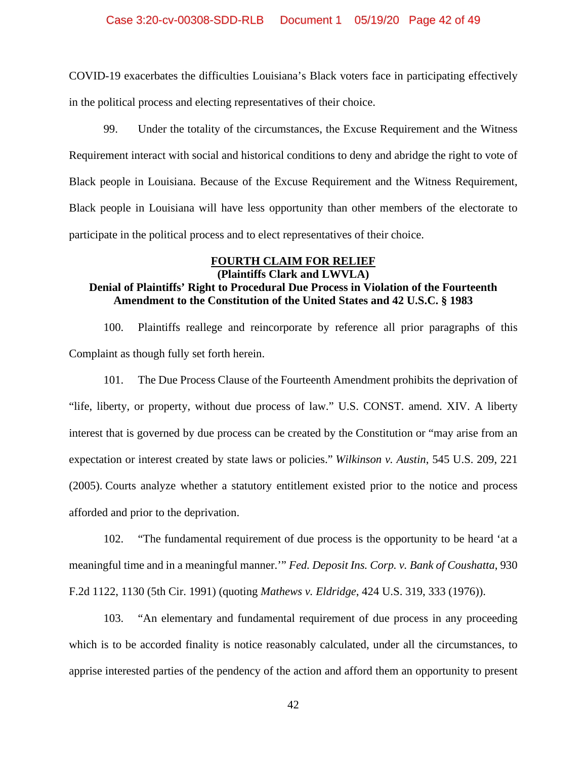COVID-19 exacerbates the difficulties Louisiana's Black voters face in participating effectively in the political process and electing representatives of their choice.

99. Under the totality of the circumstances, the Excuse Requirement and the Witness Requirement interact with social and historical conditions to deny and abridge the right to vote of Black people in Louisiana. Because of the Excuse Requirement and the Witness Requirement, Black people in Louisiana will have less opportunity than other members of the electorate to participate in the political process and to elect representatives of their choice.

### **FOURTH CLAIM FOR RELIEF (Plaintiffs Clark and LWVLA)**

# **Denial of Plaintiffs' Right to Procedural Due Process in Violation of the Fourteenth Amendment to the Constitution of the United States and 42 U.S.C. § 1983**

100. Plaintiffs reallege and reincorporate by reference all prior paragraphs of this Complaint as though fully set forth herein.

101. The Due Process Clause of the Fourteenth Amendment prohibits the deprivation of "life, liberty, or property, without due process of law." U.S. CONST. amend. XIV. A liberty interest that is governed by due process can be created by the Constitution or "may arise from an expectation or interest created by state laws or policies." *Wilkinson v. Austin*, 545 U.S. 209, 221 (2005). Courts analyze whether a statutory entitlement existed prior to the notice and process afforded and prior to the deprivation.

102. "The fundamental requirement of due process is the opportunity to be heard 'at a meaningful time and in a meaningful manner.'" *Fed. Deposit Ins. Corp. v. Bank of Coushatta*, 930 F.2d 1122, 1130 (5th Cir. 1991) (quoting *Mathews v. Eldridge*, 424 U.S. 319, 333 (1976)).

103. "An elementary and fundamental requirement of due process in any proceeding which is to be accorded finality is notice reasonably calculated, under all the circumstances, to apprise interested parties of the pendency of the action and afford them an opportunity to present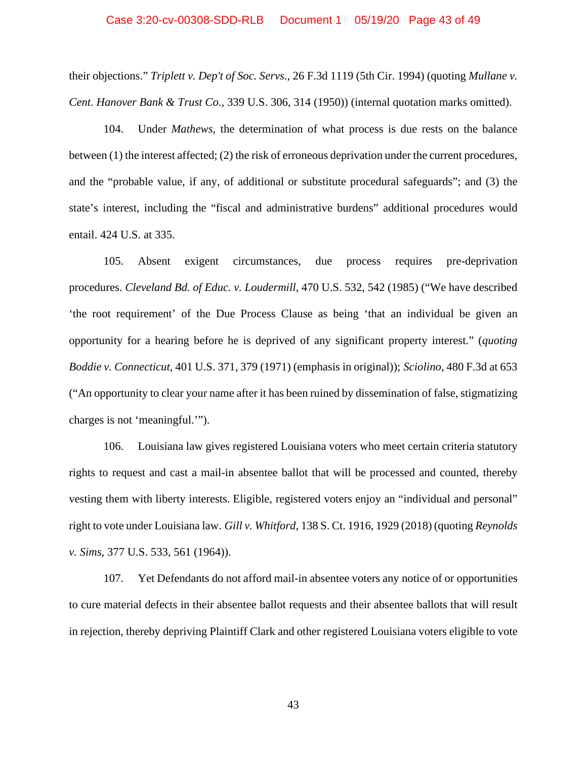#### Case 3:20-cv-00308-SDD-RLB Document 1 05/19/20 Page 43 of 49

their objections." *Triplett v. Dep't of Soc. Servs.*, 26 F.3d 1119 (5th Cir. 1994) (quoting *Mullane v. Cent. Hanover Bank & Trust Co.*, 339 U.S. 306, 314 (1950)) (internal quotation marks omitted).

104. Under *Mathews*, the determination of what process is due rests on the balance between (1) the interest affected; (2) the risk of erroneous deprivation under the current procedures, and the "probable value, if any, of additional or substitute procedural safeguards"; and (3) the state's interest, including the "fiscal and administrative burdens" additional procedures would entail. 424 U.S. at 335.

105. Absent exigent circumstances, due process requires pre-deprivation procedures. *Cleveland Bd. of Educ. v. Loudermill*, 470 U.S. 532, 542 (1985) ("We have described 'the root requirement' of the Due Process Clause as being 'that an individual be given an opportunity for a hearing before he is deprived of any significant property interest." (*quoting Boddie v. Connecticut*, 401 U.S. 371, 379 (1971) (emphasis in original)); *Sciolino*, 480 F.3d at 653 ("An opportunity to clear your name after it has been ruined by dissemination of false, stigmatizing charges is not 'meaningful.'").

106. Louisiana law gives registered Louisiana voters who meet certain criteria statutory rights to request and cast a mail-in absentee ballot that will be processed and counted, thereby vesting them with liberty interests. Eligible, registered voters enjoy an "individual and personal" right to vote under Louisiana law. *Gill v. Whitford*, 138 S. Ct. 1916, 1929 (2018) (quoting *Reynolds v. Sims*, 377 U.S. 533, 561 (1964)).

107. Yet Defendants do not afford mail-in absentee voters any notice of or opportunities to cure material defects in their absentee ballot requests and their absentee ballots that will result in rejection, thereby depriving Plaintiff Clark and other registered Louisiana voters eligible to vote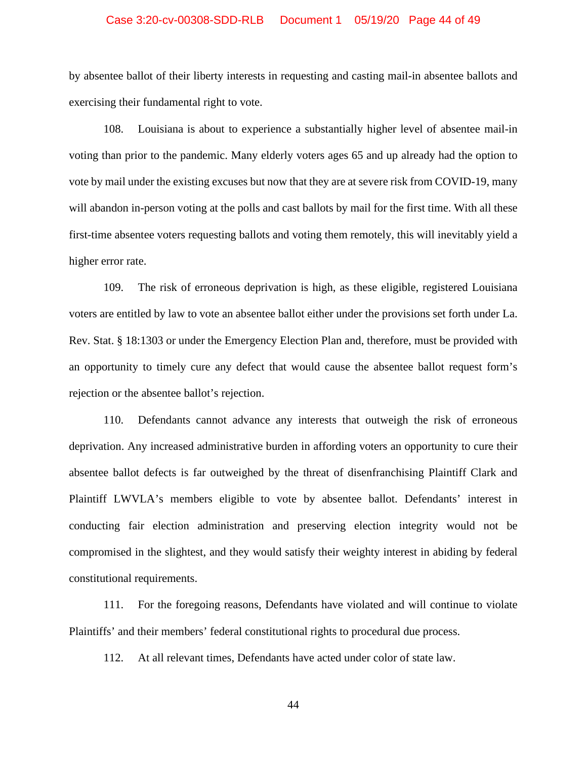### Case 3:20-cv-00308-SDD-RLB Document 1 05/19/20 Page 44 of 49

by absentee ballot of their liberty interests in requesting and casting mail-in absentee ballots and exercising their fundamental right to vote.

108. Louisiana is about to experience a substantially higher level of absentee mail-in voting than prior to the pandemic. Many elderly voters ages 65 and up already had the option to vote by mail under the existing excuses but now that they are at severe risk from COVID-19, many will abandon in-person voting at the polls and cast ballots by mail for the first time. With all these first-time absentee voters requesting ballots and voting them remotely, this will inevitably yield a higher error rate.

109. The risk of erroneous deprivation is high, as these eligible, registered Louisiana voters are entitled by law to vote an absentee ballot either under the provisions set forth under La. Rev. Stat. § 18:1303 or under the Emergency Election Plan and, therefore, must be provided with an opportunity to timely cure any defect that would cause the absentee ballot request form's rejection or the absentee ballot's rejection.

110. Defendants cannot advance any interests that outweigh the risk of erroneous deprivation. Any increased administrative burden in affording voters an opportunity to cure their absentee ballot defects is far outweighed by the threat of disenfranchising Plaintiff Clark and Plaintiff LWVLA's members eligible to vote by absentee ballot. Defendants' interest in conducting fair election administration and preserving election integrity would not be compromised in the slightest, and they would satisfy their weighty interest in abiding by federal constitutional requirements.

111. For the foregoing reasons, Defendants have violated and will continue to violate Plaintiffs' and their members' federal constitutional rights to procedural due process.

112. At all relevant times, Defendants have acted under color of state law.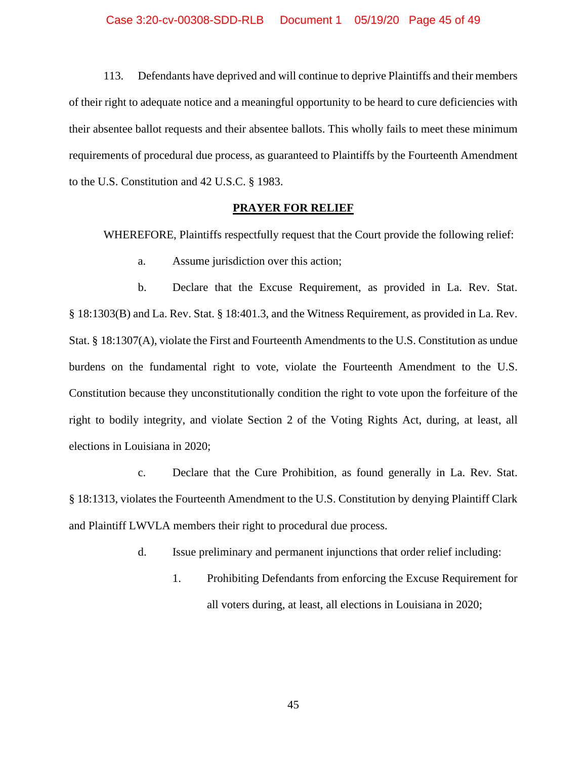113. Defendants have deprived and will continue to deprive Plaintiffs and their members of their right to adequate notice and a meaningful opportunity to be heard to cure deficiencies with their absentee ballot requests and their absentee ballots. This wholly fails to meet these minimum requirements of procedural due process, as guaranteed to Plaintiffs by the Fourteenth Amendment to the U.S. Constitution and 42 U.S.C. § 1983.

### **PRAYER FOR RELIEF**

WHEREFORE, Plaintiffs respectfully request that the Court provide the following relief:

a. Assume jurisdiction over this action;

b. Declare that the Excuse Requirement, as provided in La. Rev. Stat. § 18:1303(B) and La. Rev. Stat. § 18:401.3, and the Witness Requirement, as provided in La. Rev. Stat. § 18:1307(A), violate the First and Fourteenth Amendments to the U.S. Constitution as undue burdens on the fundamental right to vote, violate the Fourteenth Amendment to the U.S. Constitution because they unconstitutionally condition the right to vote upon the forfeiture of the right to bodily integrity, and violate Section 2 of the Voting Rights Act, during, at least, all elections in Louisiana in 2020;

c. Declare that the Cure Prohibition, as found generally in La. Rev. Stat. § 18:1313, violates the Fourteenth Amendment to the U.S. Constitution by denying Plaintiff Clark and Plaintiff LWVLA members their right to procedural due process.

- d. Issue preliminary and permanent injunctions that order relief including:
	- 1. Prohibiting Defendants from enforcing the Excuse Requirement for all voters during, at least, all elections in Louisiana in 2020;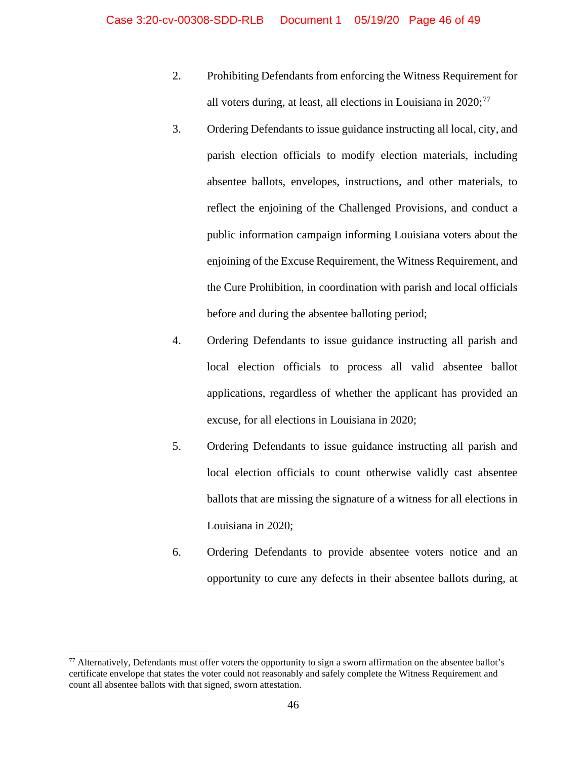- 2. Prohibiting Defendants from enforcing the Witness Requirement for all voters during, at least, all elections in Louisiana in 2020;<sup>[77](#page-45-0)</sup>
- 3. Ordering Defendants to issue guidance instructing all local, city, and parish election officials to modify election materials, including absentee ballots, envelopes, instructions, and other materials, to reflect the enjoining of the Challenged Provisions, and conduct a public information campaign informing Louisiana voters about the enjoining of the Excuse Requirement, the Witness Requirement, and the Cure Prohibition, in coordination with parish and local officials before and during the absentee balloting period;
- 4. Ordering Defendants to issue guidance instructing all parish and local election officials to process all valid absentee ballot applications, regardless of whether the applicant has provided an excuse, for all elections in Louisiana in 2020;
- 5. Ordering Defendants to issue guidance instructing all parish and local election officials to count otherwise validly cast absentee ballots that are missing the signature of a witness for all elections in Louisiana in 2020;
- 6. Ordering Defendants to provide absentee voters notice and an opportunity to cure any defects in their absentee ballots during, at

<span id="page-45-0"></span> $77$  Alternatively, Defendants must offer voters the opportunity to sign a sworn affirmation on the absentee ballot's certificate envelope that states the voter could not reasonably and safely complete the Witness Requirement and count all absentee ballots with that signed, sworn attestation.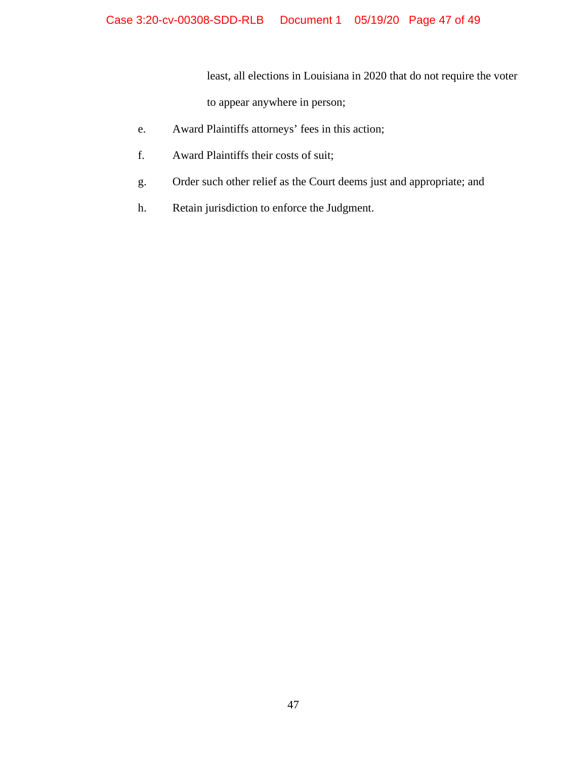least, all elections in Louisiana in 2020 that do not require the voter

to appear anywhere in person;

- e. Award Plaintiffs attorneys' fees in this action;
- f. Award Plaintiffs their costs of suit;
- g. Order such other relief as the Court deems just and appropriate; and
- h. Retain jurisdiction to enforce the Judgment.